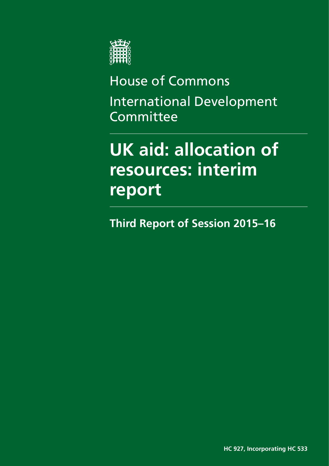

House of Commons International Development Committee

# **UK aid: allocation of resources: interim report**

**Third Report of Session 2015–16**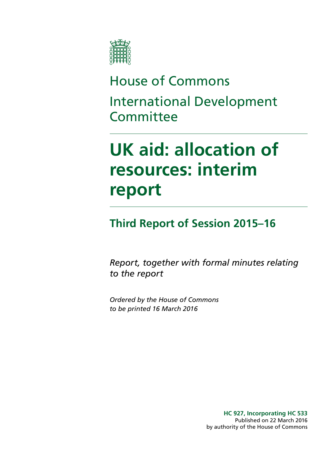

# House of Commons International Development **Committee**

# **UK aid: allocation of resources: interim report**

### **Third Report of Session 2015–16**

*Report, together with formal minutes relating to the report*

*Ordered by the House of Commons to be printed 16 March 2016*

> **HC 927, Incorporating HC 533** Published on 22 March 2016 by authority of the House of Commons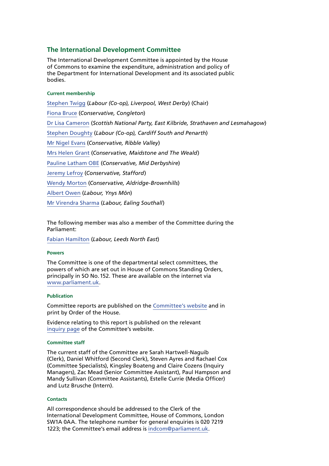#### **The International Development Committee**

The International Development Committee is appointed by the House of Commons to examine the expenditure, administration and policy of the Department for International Development and its associated public bodies.

#### **Current membership**

[Stephen Twigg](http://www.parliament.uk/biographies/commons/stephen-twigg/167) (*Labour (Co-op), Liverpool, West Derby*) (Chair) [Fiona Bruce](http://www.parliament.uk/biographies/commons/fiona-bruce/3958) (*Conservative, Congleton*) [Dr Lisa Cameron](http://www.parliament.uk/biographies/commons/dr-lisa-cameron/4412) (*Scottish National Party, East Kilbride, Strathaven and Lesmahagow*) [Stephen Doughty](http://www.parliament.uk/biographies/commons/stephen-doughty/4264) (*Labour (Co-op), Cardiff South and Penarth*) [Mr Nigel Evans](http://www.parliament.uk/biographies/commons/mr-nigel-evans/474) (*Conservative, Ribble Valley*) [Mrs Helen Grant](http://www.parliament.uk/biographies/commons/mrs-helen-grant/4018) (*Conservative, Maidstone and The Weald*) [Pauline Latham OBE](http://www.parliament.uk/biographies/commons/pauline-latham/4025) (*Conservative, Mid Derbyshire*) [Jeremy Lefroy](http://www.parliament.uk/biographies/commons/jeremy-lefroy/4109) (*Conservative, Stafford*) [Wendy Morton](http://www.parliament.uk/biographies/commons/wendy-morton/4358) (*Conservative, Aldridge-Brownhills*) [Albert Owen](http://www.parliament.uk/biographies/commons/albert-owen/1474) (*Labour, Ynys Môn*) [Mr Virendra Sharma](http://www.parliament.uk/biographies/commons/mr-virendra-sharma/1604) (*Labour, Ealing Southall*)

The following member was also a member of the Committee during the Parliament:

[Fabian Hamilton](http://www.parliament.uk/biographies/commons/fabian-hamilton/415) (*Labour, Leeds North East*)

#### **Powers**

The Committee is one of the departmental select committees, the powers of which are set out in House of Commons Standing Orders, principally in SO No.152. These are available on the internet via [www.parliament.uk](http://www.parliament.uk).

#### **Publication**

Committee reports are published on the [Committee's website](http://www.parliament.uk/business/committees/committees-a-z/commons-select/international-development-committee/) and in print by Order of the House.

Evidence relating to this report is published on the relevant [inquiry page](http://www.parliament.uk/business/committees/committees-a-z/commons-select/international-development-committee/inquiries/parliament-2015/dfids-allocation-of-resources/) of the Committee's website.

#### **Committee staff**

The current staff of the Committee are Sarah Hartwell-Naguib (Clerk), Daniel Whitford (Second Clerk), Steven Ayres and Rachael Cox (Committee Specialists), Kingsley Boateng and Claire Cozens (Inquiry Managers), Zac Mead (Senior Committee Assistant), Paul Hampson and Mandy Sullivan (Committee Assistants), Estelle Currie (Media Officer) and Lutz Brusche (Intern).

#### **Contacts**

All correspondence should be addressed to the Clerk of the International Development Committee, House of Commons, London SW1A 0AA. The telephone number for general enquiries is 020 7219 1223; the Committee's email address is [indcom@parliament.uk.](mailto:indcom@parliament.uk)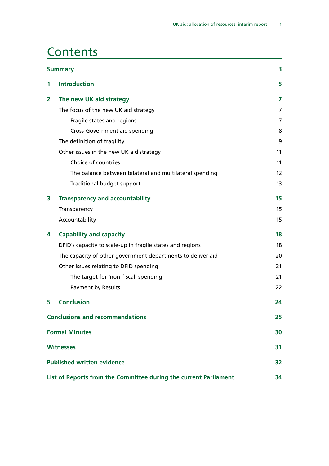### **Contents**

| <b>Summary</b>                                                   |                                                             |    |
|------------------------------------------------------------------|-------------------------------------------------------------|----|
| 1                                                                | <b>Introduction</b>                                         | 5  |
| 2                                                                | The new UK aid strategy                                     | 7  |
|                                                                  | The focus of the new UK aid strategy                        | 7  |
|                                                                  | Fragile states and regions                                  | 7  |
|                                                                  | <b>Cross-Government aid spending</b>                        | 8  |
|                                                                  | The definition of fragility                                 | 9  |
|                                                                  | Other issues in the new UK aid strategy                     | 11 |
|                                                                  | Choice of countries                                         | 11 |
|                                                                  | The balance between bilateral and multilateral spending     | 12 |
|                                                                  | Traditional budget support                                  | 13 |
| 3                                                                | <b>Transparency and accountability</b>                      | 15 |
|                                                                  | Transparency                                                | 15 |
|                                                                  | Accountability                                              | 15 |
| 4                                                                | <b>Capability and capacity</b>                              | 18 |
|                                                                  | DFID's capacity to scale-up in fragile states and regions   | 18 |
|                                                                  | The capacity of other government departments to deliver aid | 20 |
|                                                                  | Other issues relating to DFID spending                      | 21 |
|                                                                  | The target for 'non-fiscal' spending                        | 21 |
|                                                                  | <b>Payment by Results</b>                                   | 22 |
| 5                                                                | <b>Conclusion</b>                                           | 24 |
| <b>Conclusions and recommendations</b>                           |                                                             | 25 |
| <b>Formal Minutes</b>                                            |                                                             | 30 |
|                                                                  | <b>Witnesses</b>                                            | 31 |
| <b>Published written evidence</b>                                |                                                             | 32 |
| List of Reports from the Committee during the current Parliament |                                                             | 34 |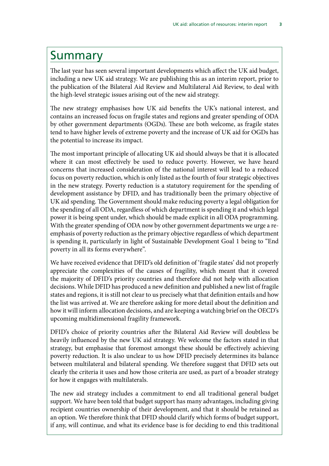### <span id="page-6-0"></span>Summary

The last year has seen several important developments which affect the UK aid budget, including a new UK aid strategy. We are publishing this as an interim report, prior to the publication of the Bilateral Aid Review and Multilateral Aid Review, to deal with the high-level strategic issues arising out of the new aid strategy.

The new strategy emphasises how UK aid benefits the UK's national interest, and contains an increased focus on fragile states and regions and greater spending of ODA by other government departments (OGDs). These are both welcome, as fragile states tend to have higher levels of extreme poverty and the increase of UK aid for OGDs has the potential to increase its impact.

The most important principle of allocating UK aid should always be that it is allocated where it can most effectively be used to reduce poverty. However, we have heard concerns that increased consideration of the national interest will lead to a reduced focus on poverty reduction, which is only listed as the fourth of four strategic objectives in the new strategy. Poverty reduction is a statutory requirement for the spending of development assistance by DFID, and has traditionally been the primary objective of UK aid spending. The Government should make reducing poverty a legal obligation for the spending of all ODA, regardless of which department is spending it and which legal power it is being spent under, which should be made explicit in all ODA programming. With the greater spending of ODA now by other government departments we urge a reemphasis of poverty reduction as the primary objective regardless of which department is spending it, particularly in light of Sustainable Development Goal 1 being to "End poverty in all its forms everywhere".

We have received evidence that DFID's old definition of 'fragile states' did not properly appreciate the complexities of the causes of fragility, which meant that it covered the majority of DFID's priority countries and therefore did not help with allocation decisions. While DFID has produced a new definition and published a new list of fragile states and regions, it is still not clear to us precisely what that definition entails and how the list was arrived at. We are therefore asking for more detail about the definition and how it will inform allocation decisions, and are keeping a watching brief on the OECD's upcoming multidimensional fragility framework.

DFID's choice of priority countries after the Bilateral Aid Review will doubtless be heavily influenced by the new UK aid strategy. We welcome the factors stated in that strategy, but emphasise that foremost amongst these should be effectively achieving poverty reduction. It is also unclear to us how DFID precisely determines its balance between multilateral and bilateral spending. We therefore suggest that DFID sets out clearly the criteria it uses and how those criteria are used, as part of a broader strategy for how it engages with multilaterals.

The new aid strategy includes a commitment to end all traditional general budget support. We have been told that budget support has many advantages, including giving recipient countries ownership of their development, and that it should be retained as an option. We therefore think that DFID should clarify which forms of budget support, if any, will continue, and what its evidence base is for deciding to end this traditional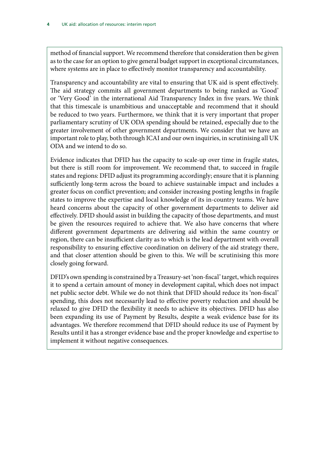method of financial support. We recommend therefore that consideration then be given as to the case for an option to give general budget support in exceptional circumstances, where systems are in place to effectively monitor transparency and accountability.

Transparency and accountability are vital to ensuring that UK aid is spent effectively. The aid strategy commits all government departments to being ranked as 'Good' or 'Very Good' in the international Aid Transparency Index in five years. We think that this timescale is unambitious and unacceptable and recommend that it should be reduced to two years. Furthermore, we think that it is very important that proper parliamentary scrutiny of UK ODA spending should be retained, especially due to the greater involvement of other government departments. We consider that we have an important role to play, both through ICAI and our own inquiries, in scrutinising all UK ODA and we intend to do so.

Evidence indicates that DFID has the capacity to scale-up over time in fragile states, but there is still room for improvement. We recommend that, to succeed in fragile states and regions: DFID adjust its programming accordingly; ensure that it is planning sufficiently long-term across the board to achieve sustainable impact and includes a greater focus on conflict prevention; and consider increasing posting lengths in fragile states to improve the expertise and local knowledge of its in-country teams. We have heard concerns about the capacity of other government departments to deliver aid effectively. DFID should assist in building the capacity of those departments, and must be given the resources required to achieve that. We also have concerns that where different government departments are delivering aid within the same country or region, there can be insufficient clarity as to which is the lead department with overall responsibility to ensuring effective coordination on delivery of the aid strategy there, and that closer attention should be given to this. We will be scrutinising this more closely going forward.

DFID's own spending is constrained by a Treasury-set 'non-fiscal' target, which requires it to spend a certain amount of money in development capital, which does not impact net public sector debt. While we do not think that DFID should reduce its 'non-fiscal' spending, this does not necessarily lead to effective poverty reduction and should be relaxed to give DFID the flexibility it needs to achieve its objectives. DFID has also been expanding its use of Payment by Results, despite a weak evidence base for its advantages. We therefore recommend that DFID should reduce its use of Payment by Results until it has a stronger evidence base and the proper knowledge and expertise to implement it without negative consequences.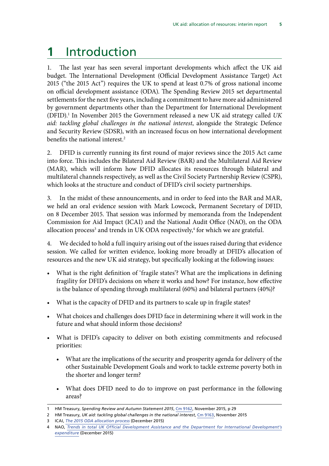## <span id="page-8-0"></span>**1** Introduction

1. The last year has seen several important developments which affect the UK aid budget. The International Development (Official Development Assistance Target) Act 2015 ("the 2015 Act") requires the UK to spend at least 0.7% of gross national income on official development assistance (ODA). The Spending Review 2015 set departmental settlements for the next five years, including a commitment to have more aid administered by government departments other than the Department for International Development (DFID).1 In November 2015 the Government released a new UK aid strategy called *UK aid: tackling global challenges in the national interest*, alongside the Strategic Defence and Security Review (SDSR), with an increased focus on how international development benefits the national interest.<sup>2</sup>

2. DFID is currently running its first round of major reviews since the 2015 Act came into force. This includes the Bilateral Aid Review (BAR) and the Multilateral Aid Review (MAR), which will inform how DFID allocates its resources through bilateral and multilateral channels respectively, as well as the Civil Society Partnership Review (CSPR), which looks at the structure and conduct of DFID's civil society partnerships.

3. In the midst of these announcements, and in order to feed into the BAR and MAR, we held an oral evidence session with Mark Lowcock, Permanent Secretary of DFID, on 8 December 2015. That session was informed by memoranda from the Independent Commission for Aid Impact (ICAI) and the National Audit Office (NAO), on the ODA allocation process $^3$  and trends in UK ODA respectively, $^4$  for which we are grateful.

4. We decided to hold a full inquiry arising out of the issues raised during that evidence session. We called for written evidence, looking more broadly at DFID's allocation of resources and the new UK aid strategy, but specifically looking at the following issues:

- What is the right definition of 'fragile states'? What are the implications in defining fragility for DFID's decisions on where it works and how? For instance, how effective is the balance of spending through multilateral (60%) and bilateral partners (40%)?
- What is the capacity of DFID and its partners to scale up in fragile states?
- What choices and challenges does DFID face in determining where it will work in the future and what should inform those decisions?
- What is DFID's capacity to deliver on both existing commitments and refocused priorities:
	- What are the implications of the security and prosperity agenda for delivery of the other Sustainable Development Goals and work to tackle extreme poverty both in the shorter and longer term?
	- What does DFID need to do to improve on past performance in the following areas?

<sup>1</sup> HM Treasury, *Spending Review and Autumn Statement 2015*, [Cm 9162](https://www.gov.uk/government/uploads/system/uploads/attachment_data/file/479749/52229_Blue_Book_PU1865_Web_Accessible.pdf), November 2015, p 29

<sup>2</sup> HM Treasury, *UK aid: tackling global challenges in the national interest*, [Cm 9163](https://www.gov.uk/government/uploads/system/uploads/attachment_data/file/478834/ODA_strategy_final_web_0905.pdf), November 2015

<sup>3</sup> ICAI, *[The 2015 ODA allocation process](http://www.parliament.uk/documents/commons-committees/international-development/ICAI-Memo-ODA-allocation-process.pdf)* (December 2015)

<sup>4</sup> NAO, *[Trends in total UK Official Development Assistance and the Department for International Development's](https://www.nao.org.uk/wp-content/uploads/2015/12/Trends-in-total-UK-Official-Development-Assistance-and-the-Department-for-International-Developments-expenditu.pdf) [expenditure](https://www.nao.org.uk/wp-content/uploads/2015/12/Trends-in-total-UK-Official-Development-Assistance-and-the-Department-for-International-Developments-expenditu.pdf)* (December 2015)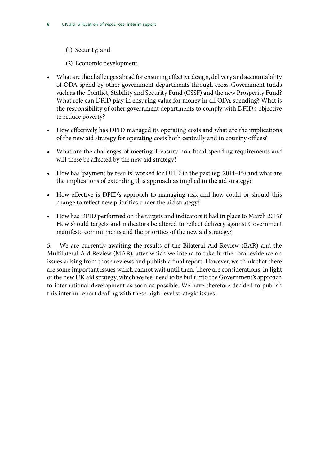- (1) Security; and
- (2) Economic development.
- What are the challenges ahead for ensuring effective design, delivery and accountability of ODA spend by other government departments through cross-Government funds such as the Conflict, Stability and Security Fund (CSSF) and the new Prosperity Fund? What role can DFID play in ensuring value for money in all ODA spending? What is the responsibility of other government departments to comply with DFID's objective to reduce poverty?
- How effectively has DFID managed its operating costs and what are the implications of the new aid strategy for operating costs both centrally and in country offices?
- What are the challenges of meeting Treasury non-fiscal spending requirements and will these be affected by the new aid strategy?
- How has 'payment by results' worked for DFID in the past (eg. 2014–15) and what are the implications of extending this approach as implied in the aid strategy?
- How effective is DFID's approach to managing risk and how could or should this change to reflect new priorities under the aid strategy?
- How has DFID performed on the targets and indicators it had in place to March 2015? How should targets and indicators be altered to reflect delivery against Government manifesto commitments and the priorities of the new aid strategy?

5. We are currently awaiting the results of the Bilateral Aid Review (BAR) and the Multilateral Aid Review (MAR), after which we intend to take further oral evidence on issues arising from those reviews and publish a final report. However, we think that there are some important issues which cannot wait until then. There are considerations, in light of the new UK aid strategy, which we feel need to be built into the Government's approach to international development as soon as possible. We have therefore decided to publish this interim report dealing with these high-level strategic issues.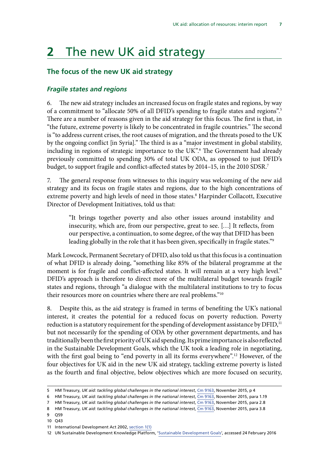### <span id="page-10-0"></span>**2** The new UK aid strategy

#### **The focus of the new UK aid strategy**

#### *Fragile states and regions*

6. The new aid strategy includes an increased focus on fragile states and regions, by way of a commitment to "allocate 50% of all DFID's spending to fragile states and regions".5 There are a number of reasons given in the aid strategy for this focus. The first is that, in "the future, extreme poverty is likely to be concentrated in fragile countries." The second is "to address current crises, the root causes of migration, and the threats posed to the UK by the ongoing conflict [in Syria]." The third is as a "major investment in global stability, including in regions of strategic importance to the UK".6 The Government had already previously committed to spending 30% of total UK ODA, as opposed to just DFID's budget, to support fragile and conflict-affected states by 2014-15, in the 2010 SDSR.<sup>7</sup>

7. The general response from witnesses to this inquiry was welcoming of the new aid strategy and its focus on fragile states and regions, due to the high concentrations of extreme poverty and high levels of need in those states.<sup>8</sup> Harpinder Collacott, Executive Director of Development Initiatives, told us that:

"It brings together poverty and also other issues around instability and insecurity, which are, from our perspective, great to see. […] It reflects, from our perspective, a continuation, to some degree, of the way that DFID has been leading globally in the role that it has been given, specifically in fragile states."<sup>9</sup>

Mark Lowcock, Permanent Secretary of DFID, also told us that this focus is a continuation of what DFID is already doing, "something like 85% of the bilateral programme at the moment is for fragile and conflict-affected states. It will remain at a very high level." DFID's approach is therefore to direct more of the multilateral budget towards fragile states and regions, through "a dialogue with the multilateral institutions to try to focus their resources more on countries where there are real problems."10

8. Despite this, as the aid strategy is framed in terms of benefiting the UK's national interest, it creates the potential for a reduced focus on poverty reduction. Poverty reduction is a statutory requirement for the spending of development assistance by  $DFID<sub>i</sub><sup>11</sup>$ but not necessarily for the spending of ODA by other government departments, and has traditionally been the first priority of UK aid spending. Its prime importance is also reflected in the Sustainable Development Goals, which the UK took a leading role in negotiating, with the first goal being to "end poverty in all its forms everywhere".<sup>12</sup> However, of the four objectives for UK aid in the new UK aid strategy, tackling extreme poverty is listed as the fourth and final objective, below objectives which are more focused on security,

- 9 Q59
- 10 Q43

<sup>5</sup> HM Treasury, *UK aid: tackling global challenges in the national interest*, [Cm 9163](https://www.gov.uk/government/uploads/system/uploads/attachment_data/file/478834/ODA_strategy_final_web_0905.pdf), November 2015, p 4

<sup>6</sup> HM Treasury, *UK aid: tackling global challenges in the national interest*, [Cm 9163](https://www.gov.uk/government/uploads/system/uploads/attachment_data/file/478834/ODA_strategy_final_web_0905.pdf), November 2015, para 1.19

<sup>7</sup> HM Treasury, *UK aid: tackling global challenges in the national interest*, [Cm 9163](https://www.gov.uk/government/uploads/system/uploads/attachment_data/file/478834/ODA_strategy_final_web_0905.pdf), November 2015, para 2.8

<sup>8</sup> HM Treasury, *UK aid: tackling global challenges in the national interest*, [Cm 9163](https://www.gov.uk/government/uploads/system/uploads/attachment_data/file/478834/ODA_strategy_final_web_0905.pdf), November 2015, para 3.8

<sup>11</sup> International Development Act 2002, [section 1\(1\)](http://www.legislation.gov.uk/ukpga/2002/1/section/1)

<sup>12</sup> UN Sustainable Development Knowledge Platform, '[Sustainable Development Goals](https://sustainabledevelopment.un.org/sdgs)', accessed 24 February 2016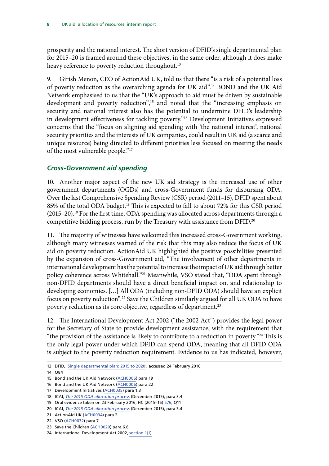<span id="page-11-0"></span>prosperity and the national interest. The short version of DFID's single departmental plan for 2015–20 is framed around these objectives, in the same order, although it does make heavy reference to poverty reduction throughout.<sup>13</sup>

9. Girish Menon, CEO of ActionAid UK, told us that there "is a risk of a potential loss of poverty reduction as the overarching agenda for UK aid".14 BOND and the UK Aid Network emphasised to us that the "UK's approach to aid must be driven by sustainable development and poverty reduction",<sup>15</sup> and noted that the "increasing emphasis on security and national interest also has the potential to undermine DFID's leadership in development effectiveness for tackling poverty."16 Development Initiatives expressed concerns that the "focus on aligning aid spending with 'the national interest', national security priorities and the interests of UK companies, could result in UK aid (a scarce and unique resource) being directed to different priorities less focused on meeting the needs of the most vulnerable people."17

#### *Cross-Government aid spending*

10. Another major aspect of the new UK aid strategy is the increased use of other government departments (OGDs) and cross-Government funds for disbursing ODA. Over the last Comprehensive Spending Review (CSR) period (2011–15), DFID spent about 85% of the total ODA budget.<sup>18</sup> This is expected to fall to about 72% for this CSR period (2015–20).19 For the first time, ODA spending was allocated across departments through a competitive bidding process, run by the Treasury with assistance from DFID.20

11. The majority of witnesses have welcomed this increased cross-Government working, although many witnesses warned of the risk that this may also reduce the focus of UK aid on poverty reduction. ActionAid UK highlighted the positive possibilities presented by the expansion of cross-Government aid, "The involvement of other departments in international development has the potential to increase the impact of UK aid through better policy coherence across Whitehall."<sup>21</sup> Meanwhile, VSO stated that, "ODA spent through non-DFID departments should have a direct beneficial impact on, and relationship to developing economies. […] All ODA (including non-DFID ODA) should have an explicit focus on poverty reduction".22 Save the Children similarly argued for all UK ODA to have poverty reduction as its core objective, regardless of department.<sup>23</sup>

12. The International Development Act 2002 ("the 2002 Act") provides the legal power for the Secretary of State to provide development assistance, with the requirement that "the provision of the assistance is likely to contribute to a reduction in poverty."24 This is the only legal power under which DFID can spend ODA, meaning that all DFID ODA is subject to the poverty reduction requirement. Evidence to us has indicated, however,

<sup>13</sup> DFID, '[Single departmental plan: 2015 to 2020](https://www.gov.uk/government/publications/dfid-single-departmental-plan-2015-to-2020/single-departmental-plan-2015-to-2020)', accessed 24 February 2016

<sup>14</sup> Q84

<sup>15</sup> Bond and the UK Aid Network ([ACH0006](http://data.parliament.uk/writtenevidence/committeeevidence.svc/evidencedocument/international-development-committee/dfids-allocation-of-resources/written/27391.pdf)) para 19

<sup>16</sup> Bond and the UK Aid Network ([ACH0006](http://data.parliament.uk/writtenevidence/committeeevidence.svc/evidencedocument/international-development-committee/dfids-allocation-of-resources/written/27391.pdf)) para 22

<sup>17</sup> Development Initiatives ([ACH0035\)](http://data.parliament.uk/writtenevidence/committeeevidence.svc/evidencedocument/international-development-committee/dfids-allocation-of-resources/written/28286.pdf) para 1.3

<sup>18</sup> ICAI, *[The 2015 ODA allocation process](http://www.parliament.uk/documents/commons-committees/international-development/ICAI-Memo-ODA-allocation-process.pdf)* (December 2015), para 3.4

<sup>19</sup> Oral evidence taken on 23 February 2016, HC (2015–16) [576](http://data.parliament.uk/writtenevidence/committeeevidence.svc/evidencedocument/international-development-committee/dfids-annual-report-and-accounts-201415/oral/29586.pdf), Q11

<sup>20</sup> ICAI, *[The 2015 ODA allocation process](http://www.parliament.uk/documents/commons-committees/international-development/ICAI-Memo-ODA-allocation-process.pdf)* (December 2015), para 3.4

<sup>21</sup> ActionAid UK ([ACH0034\)](http://data.parliament.uk/writtenevidence/committeeevidence.svc/evidencedocument/international-development-committee/dfids-allocation-of-resources/written/28285.pdf) para 2

<sup>22</sup> VSO ([ACH0032\)](http://data.parliament.uk/writtenevidence/committeeevidence.svc/evidencedocument/international-development-committee/dfids-allocation-of-resources/written/27896.pdf) para 7

<sup>23</sup> Save the Children [\(ACH0020](http://data.parliament.uk/writtenevidence/committeeevidence.svc/evidencedocument/international-development-committee/dfids-allocation-of-resources/written/27542.pdf)) para 6.6

<sup>24</sup> International Development Act 2002, [section 1\(1\)](http://www.legislation.gov.uk/ukpga/2002/1/section/1)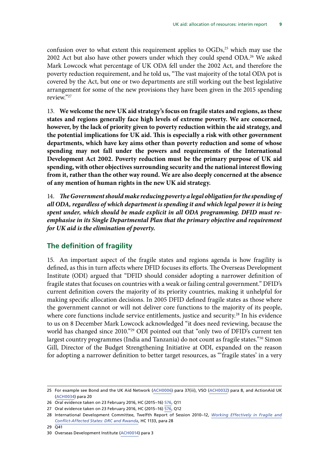<span id="page-12-0"></span>confusion over to what extent this requirement applies to OGDs,<sup>25</sup> which may use the 2002 Act but also have other powers under which they could spend ODA.26 We asked Mark Lowcock what percentage of UK ODA fell under the 2002 Act, and therefore the poverty reduction requirement, and he told us, "The vast majority of the total ODA pot is covered by the Act, but one or two departments are still working out the best legislative arrangement for some of the new provisions they have been given in the 2015 spending review."27

13. **We welcome the new UK aid strategy's focus on fragile states and regions, as these states and regions generally face high levels of extreme poverty. We are concerned, however, by the lack of priority given to poverty reduction within the aid strategy, and the potential implications for UK aid. This is especially a risk with other government departments, which have key aims other than poverty reduction and some of whose spending may not fall under the powers and requirements of the International Development Act 2002. Poverty reduction must be the primary purpose of UK aid spending, with other objectives surrounding security and the national interest flowing from it, rather than the other way round. We are also deeply concerned at the absence of any mention of human rights in the new UK aid strategy.**

14. *The Government should make reducing poverty a legal obligation for the spending of all ODA, regardless of which department is spending it and which legal power it is being spent under, which should be made explicit in all ODA programming. DFID must reemphasise in its Single Departmental Plan that the primary objective and requirement for UK aid is the elimination of poverty.*

#### **The definition of fragility**

15. An important aspect of the fragile states and regions agenda is how fragility is defined, as this in turn affects where DFID focuses its efforts. The Overseas Development Institute (ODI) argued that "DFID should consider adopting a narrower definition of fragile states that focuses on countries with a weak or failing central government." DFID's current definition covers the majority of its priority countries, making it unhelpful for making specific allocation decisions. In 2005 DFID defined fragile states as those where the government cannot or will not deliver core functions to the majority of its people, where core functions include service entitlements, justice and security.<sup>28</sup> In his evidence to us on 8 December Mark Lowcock acknowledged "it does need reviewing, because the world has changed since 2010."29 ODI pointed out that "only two of DFID's current ten largest country programmes (India and Tanzania) do not count as fragile states."30 Simon Gill, Director of the Budget Strengthening Initiative at ODI, expanded on the reason for adopting a narrower definition to better target resources, as "'fragile states' in a very

<sup>25</sup> For example see Bond and the UK Aid Network [\(ACH0006\)](http://data.parliament.uk/writtenevidence/committeeevidence.svc/evidencedocument/international-development-committee/dfids-allocation-of-resources/written/27391.pdf) para 37(iii), VSO ([ACH0032\)](http://data.parliament.uk/writtenevidence/committeeevidence.svc/evidencedocument/international-development-committee/dfids-allocation-of-resources/written/27896.pdf) para 8, and ActionAid UK ([ACH0034\)](http://data.parliament.uk/writtenevidence/committeeevidence.svc/evidencedocument/international-development-committee/dfids-allocation-of-resources/written/28285.pdf) para 20

<sup>26</sup> Oral evidence taken on 23 February 2016, HC (2015–16) [576](http://data.parliament.uk/writtenevidence/committeeevidence.svc/evidencedocument/international-development-committee/dfids-annual-report-and-accounts-201415/oral/29586.pdf), Q11

<sup>27</sup> Oral evidence taken on 23 February 2016, HC (2015–16) [576](http://data.parliament.uk/writtenevidence/committeeevidence.svc/evidencedocument/international-development-committee/dfids-annual-report-and-accounts-201415/oral/29586.pdf), Q12

<sup>28</sup> International Development Committee, Twelfth Report of Session 2010–12, *[Working Effectively in Fragile and](http://www.publications.parliament.uk/pa/cm201012/cmselect/cmintdev/1133/1133.pdf) [Conflict-Affected States: DRC and Rwanda](http://www.publications.parliament.uk/pa/cm201012/cmselect/cmintdev/1133/1133.pdf)*, HC 1133, para 28

<sup>29</sup> Q41

<sup>30</sup> Overseas Development Institute [\(ACH0014\)](http://data.parliament.uk/writtenevidence/committeeevidence.svc/evidencedocument/international-development-committee/dfids-allocation-of-resources/written/27459.pdf) para 3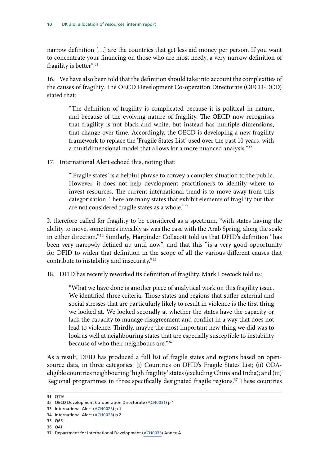narrow definition […] are the countries that get less aid money per person. If you want to concentrate your financing on those who are most needy, a very narrow definition of fragility is better".<sup>31</sup>

16. We have also been told that the definition should take into account the complexities of the causes of fragility. The OECD Development Co-operation Directorate (OECD-DCD) stated that:

"The definition of fragility is complicated because it is political in nature, and because of the evolving nature of fragility. The OECD now recognises that fragility is not black and white, but instead has multiple dimensions, that change over time. Accordingly, the OECD is developing a new fragility framework to replace the 'Fragile States List' used over the past 10 years, with a multidimensional model that allows for a more nuanced analysis."32

17. International Alert echoed this, noting that:

"'Fragile states' is a helpful phrase to convey a complex situation to the public. However, it does not help development practitioners to identify where to invest resources. The current international trend is to move away from this categorisation. There are many states that exhibit elements of fragility but that are not considered fragile states as a whole."33

It therefore called for fragility to be considered as a spectrum, "with states having the ability to move, sometimes invisibly as was the case with the Arab Spring, along the scale in either direction."34 Similarly, Harpinder Collacott told us that DFID's definition "has been very narrowly defined up until now", and that this "is a very good opportunity for DFID to widen that definition in the scope of all the various different causes that contribute to instability and insecurity."35

18. DFID has recently reworked its definition of fragility. Mark Lowcock told us:

"What we have done is another piece of analytical work on this fragility issue. We identified three criteria. Those states and regions that suffer external and social stresses that are particularly likely to result in violence is the first thing we looked at. We looked secondly at whether the states have the capacity or lack the capacity to manage disagreement and conflict in a way that does not lead to violence. Thirdly, maybe the most important new thing we did was to look as well at neighbouring states that are especially susceptible to instability because of who their neighbours are."36

As a result, DFID has produced a full list of fragile states and regions based on opensource data, in three categories: (i) Countries on DFID's Fragile States List; (ii) ODAeligible countries neighbouring 'high fragility' states (excluding China and India); and (iii) Regional programmes in three specifically designated fragile regions.<sup>37</sup> These countries

- 35 Q65
- 36 Q41

<sup>31</sup> Q116

<sup>32</sup> OECD Development Co-operation Directorate [\(ACH0031\)](http://data.parliament.uk/writtenevidence/committeeevidence.svc/evidencedocument/international-development-committee/dfids-allocation-of-resources/written/27847.pdf) p 1

<sup>33</sup> International Alert [\(ACH0023](http://data.parliament.uk/writtenevidence/committeeevidence.svc/evidencedocument/international-development-committee/dfids-allocation-of-resources/written/27584.pdf)) p 1

<sup>34</sup> International Alert [\(ACH0023](http://data.parliament.uk/writtenevidence/committeeevidence.svc/evidencedocument/international-development-committee/dfids-allocation-of-resources/written/27584.pdf)) p 2

<sup>37</sup> Department for International Development ([ACH0033\)](http://data.parliament.uk/writtenevidence/committeeevidence.svc/evidencedocument/international-development-committee/dfids-allocation-of-resources/written/28276.pdf) Annex A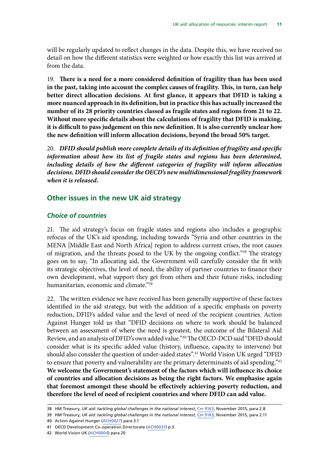<span id="page-14-0"></span>will be regularly updated to reflect changes in the data. Despite this, we have received no detail on how the different statistics were weighted or how exactly this list was arrived at from the data.

19. **There is a need for a more considered definition of fragility than has been used in the past, taking into account the complex causes of fragility. This, in turn, can help better direct allocation decisions. At first glance, it appears that DFID is taking a more nuanced approach in its definition, but in practice this has actually increased the number of its 28 priority countries classed as fragile states and regions from 21 to 22. Without more specific details about the calculations of fragility that DFID is making, it is difficult to pass judgement on this new definition. It is also currently unclear how the new definition will inform allocation decisions, beyond the broad 50% target.**

20. *DFID should publish more complete details of its definition of fragility and specific information about how its list of fragile states and regions has been determined,*  including details of how the different categories of fragility will inform allocation *decisions. DFID should consider the OECD's new multidimensional fragility framework when it is released.*

#### **Other issues in the new UK aid strategy**

#### *Choice of countries*

21. The aid strategy's focus on fragile states and regions also includes a geographic refocus of the UK's aid spending, including towards "Syria and other countries in the MENA [Middle East and North Africa] region to address current crises, the root causes of migration, and the threats posed to the UK by the ongoing conflict."38 The strategy goes on to say, "In allocating aid, the Government will carefully consider the fit with its strategic objectives, the level of need, the ability of partner countries to finance their own development, what support they get from others and their future risks, including humanitarian, economic and climate."39

22. The written evidence we have received has been generally supportive of these factors identified in the aid strategy, but with the addition of a specific emphasis on poverty reduction, DFID's added value and the level of need of the recipient countries. Action Against Hunger told us that "DFID decisions on where to work should be balanced between an assessment of where the need is greatest, the outcome of the Bilateral Aid Review, and an analysis of DFID's own added value."40 The OECD-DCD said "DFID should consider what is its specific added value (history, influence, capacity to intervene) but should also consider the question of under-aided states".41 World Vision UK urged "DFID to ensure that poverty and vulnerability are the primary determinants of aid spending."<sup>42</sup> **We welcome the Government's statement of the factors which will influence its choice of countries and allocation decisions as being the right factors. We emphasise again that foremost amongst these should be effectively achieving poverty reduction, and therefore the level of need of recipient countries and where DFID can add value.**

39 HM Treasury, *UK aid: tackling global challenges in the national interest*, [Cm 9163](https://www.gov.uk/government/uploads/system/uploads/attachment_data/file/478834/ODA_strategy_final_web_0905.pdf), November 2015, para 2.11

<sup>38</sup> HM Treasury, *UK aid: tackling global challenges in the national interest*, [Cm 9163](https://www.gov.uk/government/uploads/system/uploads/attachment_data/file/478834/ODA_strategy_final_web_0905.pdf), November 2015, para 2.8

<sup>40</sup> Action Against Hunger ([ACH0027\)](http://data.parliament.uk/writtenevidence/committeeevidence.svc/evidencedocument/international-development-committee/dfids-allocation-of-resources/written/27623.pdf) para 3.1

<sup>41</sup> OECD Development Co-operation Directorate [\(ACH0031\)](http://data.parliament.uk/writtenevidence/committeeevidence.svc/evidencedocument/international-development-committee/dfids-allocation-of-resources/written/27847.pdf) p 3

<sup>42</sup> World Vision UK [\(ACH0004\)](http://data.parliament.uk/writtenevidence/committeeevidence.svc/evidencedocument/international-development-committee/dfids-allocation-of-resources/written/27350.pdf) para 20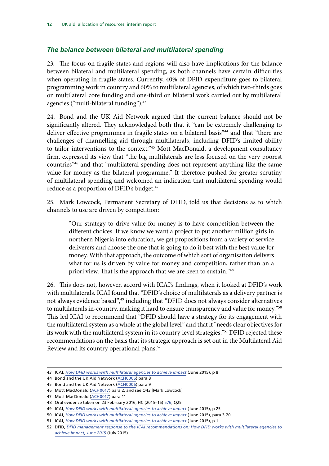#### <span id="page-15-0"></span>*The balance between bilateral and multilateral spending*

23. The focus on fragile states and regions will also have implications for the balance between bilateral and multilateral spending, as both channels have certain difficulties when operating in fragile states. Currently, 40% of DFID expenditure goes to bilateral programming work in country and 60% to multilateral agencies, of which two-thirds goes on multilateral core funding and one-third on bilateral work carried out by multilateral agencies ("multi-bilateral funding").<sup>43</sup>

24. Bond and the UK Aid Network argued that the current balance should not be significantly altered. They acknowledged both that it "can be extremely challenging to deliver effective programmes in fragile states on a bilateral basis<sup>"44</sup> and that "there are challenges of channelling aid through multilaterals, including DFID's limited ability to tailor interventions to the context."45 Mott MacDonald, a development consultancy firm, expressed its view that "the big multilaterals are less focused on the very poorest countries"46 and that "multilateral spending does not represent anything like the same value for money as the bilateral programme." It therefore pushed for greater scrutiny of multilateral spending and welcomed an indication that multilateral spending would reduce as a proportion of DFID's budget.<sup>47</sup>

25. Mark Lowcock, Permanent Secretary of DFID, told us that decisions as to which channels to use are driven by competition:

"Our strategy to drive value for money is to have competition between the different choices. If we know we want a project to put another million girls in northern Nigeria into education, we get propositions from a variety of service deliverers and choose the one that is going to do it best with the best value for money. With that approach, the outcome of which sort of organisation delivers what for us is driven by value for money and competition, rather than an a priori view. That is the approach that we are keen to sustain."48

26. This does not, however, accord with ICAI's findings, when it looked at DFID's work with multilaterals. ICAI found that "DFID's choice of multilaterals as a delivery partner is not always evidence based",<sup>49</sup> including that "DFID does not always consider alternatives to multilaterals in-country, making it hard to ensure transparency and value for money."<sup>50</sup> This led ICAI to recommend that "DFID should have a strategy for its engagement with the multilateral system as a whole at the global level" and that it "needs clear objectives for its work with the multilateral system in its country-level strategies."51 DFID rejected these recommendations on the basis that its strategic approach is set out in the Multilateral Aid Review and its country operational plans.<sup>52</sup>

<sup>43</sup> ICAI, *[How DFID works with multilateral agencies to achieve impact](http://icai.independent.gov.uk/wp-content/uploads/ICAI-Report-How-DFID-works-with-multilateral-agencies-to-achieve-impact.pdf)* (June 2015), p 8

<sup>44</sup> Bond and the UK Aid Network ([ACH0006](http://data.parliament.uk/writtenevidence/committeeevidence.svc/evidencedocument/international-development-committee/dfids-allocation-of-resources/written/27391.pdf)) para 8

<sup>45</sup> Bond and the UK Aid Network ([ACH0006](http://data.parliament.uk/writtenevidence/committeeevidence.svc/evidencedocument/international-development-committee/dfids-allocation-of-resources/written/27391.pdf)) para 9

<sup>46</sup> Mott MacDonald ([ACH0017](http://data.parliament.uk/writtenevidence/committeeevidence.svc/evidencedocument/international-development-committee/dfids-allocation-of-resources/written/27463.pdf)) para 2, and see Q43 [Mark Lowcock]

<sup>47</sup> Mott MacDonald ([ACH0017](http://data.parliament.uk/writtenevidence/committeeevidence.svc/evidencedocument/international-development-committee/dfids-allocation-of-resources/written/27463.pdf)) para 11

<sup>48</sup> Oral evidence taken on 23 February 2016, HC (2015–16) [576](http://data.parliament.uk/writtenevidence/committeeevidence.svc/evidencedocument/international-development-committee/dfids-annual-report-and-accounts-201415/oral/29586.pdf), Q25

<sup>49</sup> ICAI, *[How DFID works with multilateral agencies to achieve impact](http://icai.independent.gov.uk/wp-content/uploads/ICAI-Report-How-DFID-works-with-multilateral-agencies-to-achieve-impact.pdf)* (June 2015), p 25

<sup>50</sup> ICAI, *[How DFID works with multilateral agencies to achieve impact](http://icai.independent.gov.uk/wp-content/uploads/ICAI-Report-How-DFID-works-with-multilateral-agencies-to-achieve-impact.pdf)* (June 2015), para 3.20

<sup>51</sup> ICAI, *[How DFID works with multilateral agencies to achieve impact](http://icai.independent.gov.uk/wp-content/uploads/ICAI-Report-How-DFID-works-with-multilateral-agencies-to-achieve-impact.pdf)* (June 2015), p 1

<sup>52</sup> DFID, *[DFID management response to the ICAI recommendations on: How DFID works with multilateral agencies to](https://www.gov.uk/government/uploads/system/uploads/attachment_data/file/441384/Man-response-work-multilateral-org-impact.pdf) [achieve impact, June 2015](https://www.gov.uk/government/uploads/system/uploads/attachment_data/file/441384/Man-response-work-multilateral-org-impact.pdf)* (July 2015)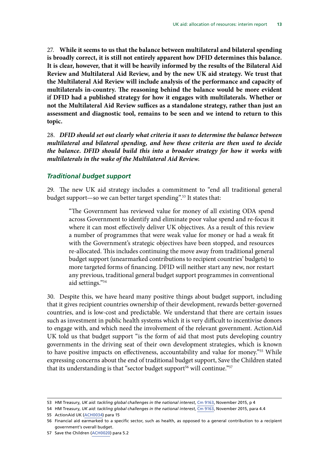<span id="page-16-0"></span>27. **While it seems to us that the balance between multilateral and bilateral spending is broadly correct, it is still not entirely apparent how DFID determines this balance. It is clear, however, that it will be heavily informed by the results of the Bilateral Aid Review and Multilateral Aid Review, and by the new UK aid strategy. We trust that the Multilateral Aid Review will include analysis of the performance and capacity of multilaterals in-country. The reasoning behind the balance would be more evident if DFID had a published strategy for how it engages with multilaterals. Whether or not the Multilateral Aid Review suffices as a standalone strategy, rather than just an assessment and diagnostic tool, remains to be seen and we intend to return to this topic.**

28. *DFID should set out clearly what criteria it uses to determine the balance between multilateral and bilateral spending, and how these criteria are then used to decide the balance. DFID should build this into a broader strategy for how it works with multilaterals in the wake of the Multilateral Aid Review.*

#### *Traditional budget support*

29. The new UK aid strategy includes a commitment to "end all traditional general budget support—so we can better target spending".53 It states that:

"The Government has reviewed value for money of all existing ODA spend across Government to identify and eliminate poor value spend and re-focus it where it can most effectively deliver UK objectives. As a result of this review a number of programmes that were weak value for money or had a weak fit with the Government's strategic objectives have been stopped, and resources re-allocated. This includes continuing the move away from traditional general budget support (unearmarked contributions to recipient countries' budgets) to more targeted forms of financing. DFID will neither start any new, nor restart any previous, traditional general budget support programmes in conventional aid settings."54

30. Despite this, we have heard many positive things about budget support, including that it gives recipient countries ownership of their development, rewards better-governed countries, and is low-cost and predictable. We understand that there are certain issues such as investment in public health systems which it is very difficult to incentivise donors to engage with, and which need the involvement of the relevant government. ActionAid UK told us that budget support "is the form of aid that most puts developing country governments in the driving seat of their own development strategies, which is known to have positive impacts on effectiveness, accountability and value for money."<sup>55</sup> While expressing concerns about the end of traditional budget support, Save the Children stated that its understanding is that "sector budget support<sup>56</sup> will continue."<sup>57</sup>

55 ActionAid UK ([ACH0034\)](http://data.parliament.uk/writtenevidence/committeeevidence.svc/evidencedocument/international-development-committee/dfids-allocation-of-resources/written/28285.pdf) para 15

<sup>53</sup> HM Treasury, *UK aid: tackling global challenges in the national interest*, [Cm 9163](https://www.gov.uk/government/uploads/system/uploads/attachment_data/file/478834/ODA_strategy_final_web_0905.pdf), November 2015, p 4

<sup>54</sup> HM Treasury, *UK aid: tackling global challenges in the national interest*, [Cm 9163](https://www.gov.uk/government/uploads/system/uploads/attachment_data/file/478834/ODA_strategy_final_web_0905.pdf), November 2015, para 4.4

<sup>56</sup> Financial aid earmarked to a specific sector, such as health, as opposed to a general contribution to a recipient government's overall budget.

<sup>57</sup> Save the Children [\(ACH0020](http://data.parliament.uk/writtenevidence/committeeevidence.svc/evidencedocument/international-development-committee/dfids-allocation-of-resources/written/27542.pdf)) para 5.2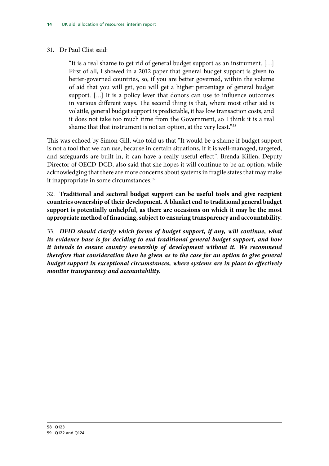#### 31. Dr Paul Clist said:

"It is a real shame to get rid of general budget support as an instrument. […] First of all, I showed in a 2012 paper that general budget support is given to better-governed countries, so, if you are better governed, within the volume of aid that you will get, you will get a higher percentage of general budget support. […] It is a policy lever that donors can use to influence outcomes in various different ways. The second thing is that, where most other aid is volatile, general budget support is predictable, it has low transaction costs, and it does not take too much time from the Government, so I think it is a real shame that that instrument is not an option, at the very least."<sup>58</sup>

This was echoed by Simon Gill, who told us that "It would be a shame if budget support is not a tool that we can use, because in certain situations, if it is well-managed, targeted, and safeguards are built in, it can have a really useful effect". Brenda Killen, Deputy Director of OECD-DCD, also said that she hopes it will continue to be an option, while acknowledging that there are more concerns about systems in fragile states that may make it inappropriate in some circumstances.<sup>59</sup>

32. **Traditional and sectoral budget support can be useful tools and give recipient countries ownership of their development. A blanket end to traditional general budget support is potentially unhelpful, as there are occasions on which it may be the most appropriate method of financing, subject to ensuring transparency and accountability.**

33. *DFID should clarify which forms of budget support, if any, will continue, what its evidence base is for deciding to end traditional general budget support, and how it intends to ensure country ownership of development without it. We recommend therefore that consideration then be given as to the case for an option to give general budget support in exceptional circumstances, where systems are in place to effectively monitor transparency and accountability.*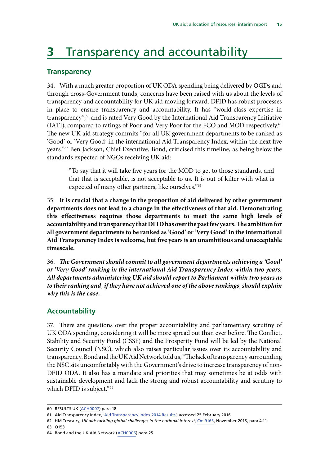### <span id="page-18-0"></span>**3** Transparency and accountability

#### **Transparency**

34. With a much greater proportion of UK ODA spending being delivered by OGDs and through cross-Government funds, concerns have been raised with us about the levels of transparency and accountability for UK aid moving forward. DFID has robust processes in place to ensure transparency and accountability. It has "world-class expertise in transparency",60 and is rated Very Good by the International Aid Transparency Initiative (IATI), compared to ratings of Poor and Very Poor for the FCO and MOD respectively.61 The new UK aid strategy commits "for all UK government departments to be ranked as 'Good' or 'Very Good' in the international Aid Transparency Index, within the next five years."62 Ben Jackson, Chief Executive, Bond, criticised this timeline, as being below the standards expected of NGOs receiving UK aid:

"To say that it will take five years for the MOD to get to those standards, and that that is acceptable, is not acceptable to us. It is out of kilter with what is expected of many other partners, like ourselves."<sup>63</sup>

35. **It is crucial that a change in the proportion of aid delivered by other government departments does not lead to a change in the effectiveness of that aid. Demonstrating this effectiveness requires those departments to meet the same high levels of accountability and transparency that DFID has over the past few years. The ambition for all government departments to be ranked as 'Good' or 'Very Good' in the international Aid Transparency Index is welcome, but five years is an unambitious and unacceptable timescale.**

36. *The Government should commit to all government departments achieving a 'Good' or 'Very Good' ranking in the international Aid Transparency Index within two years. All departments administering UK aid should report to Parliament within two years as to their ranking and, if they have not achieved one of the above rankings, should explain why this is the case.*

#### **Accountability**

37. There are questions over the proper accountability and parliamentary scrutiny of UK ODA spending, considering it will be more spread out than ever before. The Conflict, Stability and Security Fund (CSSF) and the Prosperity Fund will be led by the National Security Council (NSC), which also raises particular issues over its accountability and transparency. Bond and the UK Aid Network told us, "The lack of transparency surrounding the NSC sits uncomfortably with the Government's drive to increase transparency of non-DFID ODA. It also has a mandate and priorities that may sometimes be at odds with sustainable development and lack the strong and robust accountability and scrutiny to which DFID is subject."<sup>64</sup>

63 Q153

<sup>60</sup> RESULTS UK [\(ACH0007\)](http://data.parliament.uk/writtenevidence/committeeevidence.svc/evidencedocument/international-development-committee/dfids-allocation-of-resources/written/27398.pdf) para 18

<sup>61</sup> Aid Transparency Index, ['Aid Transparency Index 2014 Results'](http://ati.publishwhatyoufund.org/index-2014/results/), accessed 25 February 2016

<sup>62</sup> HM Treasury, *UK aid: tackling global challenges in the national interest*, [Cm 9163](https://www.gov.uk/government/uploads/system/uploads/attachment_data/file/478834/ODA_strategy_final_web_0905.pdf), November 2015, para 4.11

<sup>64</sup> Bond and the UK Aid Network ([ACH0006](http://data.parliament.uk/writtenevidence/committeeevidence.svc/evidencedocument/international-development-committee/dfids-allocation-of-resources/written/27391.pdf)) para 25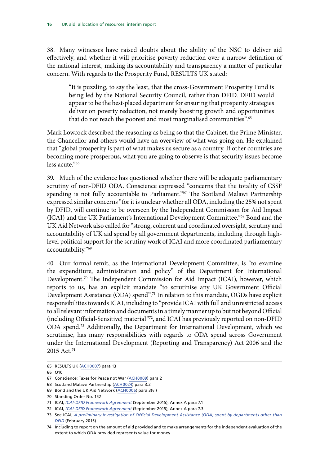38. Many witnesses have raised doubts about the ability of the NSC to deliver aid effectively, and whether it will prioritise poverty reduction over a narrow definition of the national interest, making its accountability and transparency a matter of particular concern. With regards to the Prosperity Fund, RESULTS UK stated:

"It is puzzling, to say the least, that the cross-Government Prosperity Fund is being led by the National Security Council, rather than DFID. DFID would appear to be the best-placed department for ensuring that prosperity strategies deliver on poverty reduction, not merely boosting growth and opportunities that do not reach the poorest and most marginalised communities".<sup>65</sup>

Mark Lowcock described the reasoning as being so that the Cabinet, the Prime Minister, the Chancellor and others would have an overview of what was going on. He explained that "global prosperity is part of what makes us secure as a country. If other countries are becoming more prosperous, what you are going to observe is that security issues become less acute."66

39. Much of the evidence has questioned whether there will be adequate parliamentary scrutiny of non-DFID ODA. Conscience expressed "concerns that the totality of CSSF spending is not fully accountable to Parliament."<sup>67</sup> The Scotland Malawi Partnership expressed similar concerns "for it is unclear whether all ODA, including the 25% not spent by DFID, will continue to be overseen by the Independent Commission for Aid Impact (ICAI) and the UK Parliament's International Development Committee."68 Bond and the UK Aid Network also called for "strong, coherent and coordinated oversight, scrutiny and accountability of UK aid spend by all government departments, including through highlevel political support for the scrutiny work of ICAI and more coordinated parliamentary accountability."69

40. Our formal remit, as the International Development Committee, is "to examine the expenditure, administration and policy" of the Department for International Development.<sup>70</sup> The Independent Commission for Aid Impact (ICAI), however, which reports to us, has an explicit mandate "to scrutinise any UK Government Official Development Assistance (ODA) spend".71 In relation to this mandate, OGDs have explicit responsibilities towards ICAI, including to "provide ICAI with full and unrestricted access to all relevant information and documents in a timely manner up to but not beyond Official (including Official-Sensitive) material"72, and ICAI has previously reported on non-DFID ODA spend.73 Additionally, the Department for International Development, which we scrutinise, has many responsibilities with regards to ODA spend across Government under the International Development (Reporting and Transparency) Act 2006 and the 2015 Act.74

<sup>65</sup> RESULTS UK [\(ACH0007\)](http://data.parliament.uk/writtenevidence/committeeevidence.svc/evidencedocument/international-development-committee/dfids-allocation-of-resources/written/27398.pdf) para 13

<sup>66</sup> Q10

<sup>67</sup> Conscience: Taxes for Peace not War ([ACH0009](http://data.parliament.uk/writtenevidence/committeeevidence.svc/evidencedocument/international-development-committee/dfids-allocation-of-resources/written/27429.pdf)) para 2

<sup>68</sup> Scotland Malawi Partnership [\(ACH0024](http://data.parliament.uk/writtenevidence/committeeevidence.svc/evidencedocument/international-development-committee/dfids-allocation-of-resources/written/27585.pdf)) para 3.2

<sup>69</sup> Bond and the UK Aid Network ([ACH0006](http://data.parliament.uk/writtenevidence/committeeevidence.svc/evidencedocument/international-development-committee/dfids-allocation-of-resources/written/27391.pdf)) para 3(vi)

<sup>70</sup> Standing Order No. 152

<sup>71</sup> ICAI, *[ICAI-DFID Framework Agreement](http://icai.independent.gov.uk/wp-content/uploads/ICAI-DFID-Framework-Agreement.pdf)* (September 2015), Annex A para 7.1

<sup>72</sup> ICAI, *[ICAI-DFID Framework Agreement](http://icai.independent.gov.uk/wp-content/uploads/ICAI-DFID-Framework-Agreement.pdf)* (September 2015), Annex A para 7.3

<sup>73</sup> See ICAI, *[A preliminary investigation of Official Development Assistance \(ODA\) spent by departments other than](http://icai.independent.gov.uk/wp-content/uploads/A-preliminary-investigation-of-Official-Development-Assistance-ODA-spe....pdf) [DFID](http://icai.independent.gov.uk/wp-content/uploads/A-preliminary-investigation-of-Official-Development-Assistance-ODA-spe....pdf)* (February 2015)

<sup>74</sup> Including to report on the amount of aid provided and to make arrangements for the independent evaluation of the extent to which ODA provided represents value for money.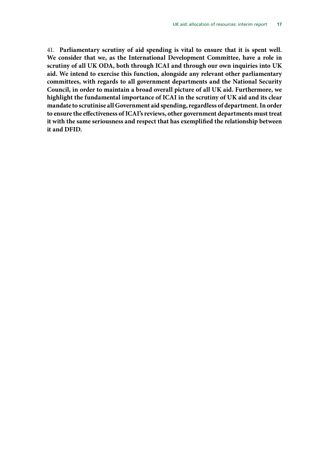41. **Parliamentary scrutiny of aid spending is vital to ensure that it is spent well. We consider that we, as the International Development Committee, have a role in scrutiny of all UK ODA, both through ICAI and through our own inquiries into UK aid. We intend to exercise this function, alongside any relevant other parliamentary committees, with regards to all government departments and the National Security Council, in order to maintain a broad overall picture of all UK aid. Furthermore, we highlight the fundamental importance of ICAI in the scrutiny of UK aid and its clear mandate to scrutinise all Government aid spending, regardless of department. In order to ensure the effectiveness of ICAI's reviews, other government departments must treat it with the same seriousness and respect that has exemplified the relationship between it and DFID.**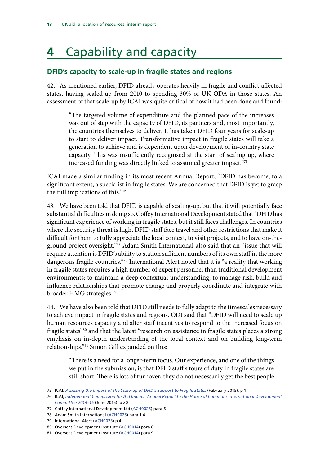# <span id="page-21-0"></span>**4** Capability and capacity

#### **DFID's capacity to scale-up in fragile states and regions**

42. As mentioned earlier, DFID already operates heavily in fragile and conflict-affected states, having scaled-up from 2010 to spending 30% of UK ODA in those states. An assessment of that scale-up by ICAI was quite critical of how it had been done and found:

"The targeted volume of expenditure and the planned pace of the increases was out of step with the capacity of DFID, its partners and, most importantly, the countries themselves to deliver. It has taken DFID four years for scale-up to start to deliver impact. Transformative impact in fragile states will take a generation to achieve and is dependent upon development of in-country state capacity. This was insufficiently recognised at the start of scaling up, where increased funding was directly linked to assumed greater impact."75

ICAI made a similar finding in its most recent Annual Report, "DFID has become, to a significant extent, a specialist in fragile states. We are concerned that DFID is yet to grasp the full implications of this."76

43. We have been told that DFID is capable of scaling-up, but that it will potentially face substantial difficulties in doing so. Coffey International Development stated that "DFID has significant experience of working in fragile states, but it still faces challenges. In countries where the security threat is high, DFID staff face travel and other restrictions that make it difficult for them to fully appreciate the local context, to visit projects, and to have on-theground project oversight."77 Adam Smith International also said that an "issue that will require attention is DFID's ability to station sufficient numbers of its own staff in the more dangerous fragile countries."78 International Alert noted that it is "a reality that working in fragile states requires a high number of expert personnel than traditional development environments: to maintain a deep contextual understanding, to manage risk, build and influence relationships that promote change and properly coordinate and integrate with broader HMG strategies."79

44. We have also been told that DFID still needs to fully adapt to the timescales necessary to achieve impact in fragile states and regions. ODI said that "DFID will need to scale up human resources capacity and alter staff incentives to respond to the increased focus on fragile states"<sup>80</sup> and that the latest "research on assistance in fragile states places a strong emphasis on in-depth understanding of the local context and on building long-term relationships."81 Simon Gill expanded on this:

"There is a need for a longer-term focus. Our experience, and one of the things we put in the submission, is that DFID staff's tours of duty in fragile states are still short. There is lots of turnover; they do not necessarily get the best people

<sup>75</sup> ICAI, *[Assessing the Impact of the Scale-up of DFID's Support to Fragile States](http://icai.independent.gov.uk/wp-content/uploads/ICAI-Report-Assessing-the-Impact-of-the-Scale-up-of-DFIDs-Support-to-Fragile-States.pdf)* (February 2015), p 1

<sup>76</sup> ICAI, *[Independent Commission for Aid Impact: Annual Report to the House of Commons International Development](http://icai.independent.gov.uk/wp-content/uploads/ICAI-Annual-Report-2014-15-FINAL.pdf) [Committee 2014–15](http://icai.independent.gov.uk/wp-content/uploads/ICAI-Annual-Report-2014-15-FINAL.pdf)* (June 2015), p 20

<sup>77</sup> Coffey International Development Ltd [\(ACH0026](http://data.parliament.uk/writtenevidence/committeeevidence.svc/evidencedocument/international-development-committee/dfids-allocation-of-resources/written/27590.pdf)) para 6

<sup>78</sup> Adam Smith International ([ACH0025](http://data.parliament.uk/writtenevidence/committeeevidence.svc/evidencedocument/international-development-committee/dfids-allocation-of-resources/written/27586.pdf)) para 1.4

<sup>79</sup> International Alert [\(ACH0023](http://data.parliament.uk/writtenevidence/committeeevidence.svc/evidencedocument/international-development-committee/dfids-allocation-of-resources/written/27584.pdf)) p 4

<sup>80</sup> Overseas Development Institute [\(ACH0014\)](http://data.parliament.uk/writtenevidence/committeeevidence.svc/evidencedocument/international-development-committee/dfids-allocation-of-resources/written/27459.pdf) para 8

<sup>81</sup> Overseas Development Institute [\(ACH0014\)](http://data.parliament.uk/writtenevidence/committeeevidence.svc/evidencedocument/international-development-committee/dfids-allocation-of-resources/written/27459.pdf) para 9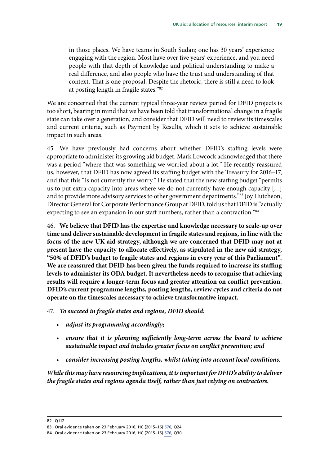in those places. We have teams in South Sudan; one has 30 years' experience engaging with the region. Most have over five years' experience, and you need people with that depth of knowledge and political understanding to make a real difference, and also people who have the trust and understanding of that context. That is one proposal. Despite the rhetoric, there is still a need to look at posting length in fragile states."82

We are concerned that the current typical three-year review period for DFID projects is too short, bearing in mind that we have been told that transformational change in a fragile state can take over a generation, and consider that DFID will need to review its timescales and current criteria, such as Payment by Results, which it sets to achieve sustainable impact in such areas.

45. We have previously had concerns about whether DFID's staffing levels were appropriate to administer its growing aid budget. Mark Lowcock acknowledged that there was a period "where that was something we worried about a lot." He recently reassured us, however, that DFID has now agreed its staffing budget with the Treasury for 2016–17, and that this "is not currently the worry." He stated that the new staffing budget "permits us to put extra capacity into areas where we do not currently have enough capacity […] and to provide more advisory services to other government departments."<sup>83</sup> Joy Hutcheon, Director General for Corporate Performance Group at DFID, told us that DFID is "actually expecting to see an expansion in our staff numbers, rather than a contraction."<sup>84</sup>

46. **We believe that DFID has the expertise and knowledge necessary to scale-up over time and deliver sustainable development in fragile states and regions, in line with the focus of the new UK aid strategy, although we are concerned that DFID may not at present have the capacity to allocate effectively, as stipulated in the new aid strategy, "50% of DFID's budget to fragile states and regions in every year of this Parliament". We are reassured that DFID has been given the funds required to increase its staffing levels to administer its ODA budget. It nevertheless needs to recognise that achieving results will require a longer-term focus and greater attention on conflict prevention. DFID's current programme lengths, posting lengths, review cycles and criteria do not operate on the timescales necessary to achieve transformative impact.**

47. *To succeed in fragile states and regions, DFID should:*

- *adjust its programming accordingly;*
- *ensure that it is planning sufficiently long-term across the board to achieve sustainable impact and includes greater focus on conflict prevention; and*
- *consider increasing posting lengths, whilst taking into account local conditions.*

*While this may have resourcing implications, it is important for DFID's ability to deliver the fragile states and regions agenda itself, rather than just relying on contractors.*

<sup>82</sup> Q112

<sup>83</sup> Oral evidence taken on 23 February 2016, HC (2015–16) [576](http://data.parliament.uk/writtenevidence/committeeevidence.svc/evidencedocument/international-development-committee/dfids-annual-report-and-accounts-201415/oral/29586.pdf), Q24

<sup>84</sup> Oral evidence taken on 23 February 2016, HC (2015–16) [576](http://data.parliament.uk/writtenevidence/committeeevidence.svc/evidencedocument/international-development-committee/dfids-annual-report-and-accounts-201415/oral/29586.pdf), Q30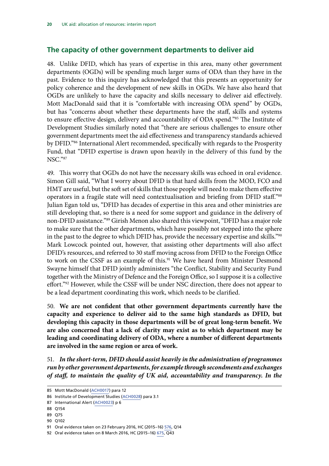#### <span id="page-23-0"></span>**The capacity of other government departments to deliver aid**

48. Unlike DFID, which has years of expertise in this area, many other government departments (OGDs) will be spending much larger sums of ODA than they have in the past. Evidence to this inquiry has acknowledged that this presents an opportunity for policy coherence and the development of new skills in OGDs. We have also heard that OGDs are unlikely to have the capacity and skills necessary to deliver aid effectively. Mott MacDonald said that it is "comfortable with increasing ODA spend" by OGDs, but has "concerns about whether these departments have the staff, skills and systems to ensure effective design, delivery and accountability of ODA spend."85 The Institute of Development Studies similarly noted that "there are serious challenges to ensure other government departments meet the aid effectiveness and transparency standards achieved by DFID."86 International Alert recommended, specifically with regards to the Prosperity Fund, that "DFID expertise is drawn upon heavily in the delivery of this fund by the NSC."87

49. This worry that OGDs do not have the necessary skills was echoed in oral evidence. Simon Gill said, "What I worry about DFID is that hard skills from the MOD, FCO and HMT are useful, but the soft set of skills that those people will need to make them effective operators in a fragile state will need contextualisation and briefing from DFID staff."88 Julian Egan told us, "DFID has decades of expertise in this area and other ministries are still developing that, so there is a need for some support and guidance in the delivery of non-DFID assistance."89 Girish Menon also shared this viewpoint, "DFID has a major role to make sure that the other departments, which have possibly not stepped into the sphere in the past to the degree to which DFID has, provide the necessary expertise and skills."<sup>90</sup> Mark Lowcock pointed out, however, that assisting other departments will also affect DFID's resources, and referred to 30 staff moving across from DFID to the Foreign Office to work on the CSSF as an example of this.<sup>91</sup> We have heard from Minister Desmond Swayne himself that DFID jointly administers "the Conflict, Stability and Security Fund together with the Ministry of Defence and the Foreign Office, so I suppose it is a collective effort."<sup>92</sup> However, while the CSSF will be under NSC direction, there does not appear to be a lead department coordinating this work, which needs to be clarified.

50. **We are not confident that other government departments currently have the capacity and experience to deliver aid to the same high standards as DFID, but developing this capacity in those departments will be of great long-term benefit. We are also concerned that a lack of clarity may exist as to which department may be leading and coordinating delivery of ODA, where a number of different departments are involved in the same region or area of work.**

51. *In the short-term, DFID should assist heavily in the administration of programmes run by other government departments, for example through secondments and exchanges of staff, to maintain the quality of UK aid, accountability and transparency. In the* 

- 88 Q154
- 89 Q75
- 90 Q102

<sup>85</sup> Mott MacDonald ([ACH0017](http://data.parliament.uk/writtenevidence/committeeevidence.svc/evidencedocument/international-development-committee/dfids-allocation-of-resources/written/27463.pdf)) para 12

<sup>86</sup> Institute of Development Studies ([ACH0028\)](http://data.parliament.uk/writtenevidence/committeeevidence.svc/evidencedocument/international-development-committee/dfids-allocation-of-resources/written/27803.pdf) para 3.1

<sup>87</sup> International Alert [\(ACH0023](http://data.parliament.uk/writtenevidence/committeeevidence.svc/evidencedocument/international-development-committee/dfids-allocation-of-resources/written/27584.pdf)) p 6

<sup>91</sup> Oral evidence taken on 23 February 2016, HC (2015–16) [576](http://data.parliament.uk/writtenevidence/committeeevidence.svc/evidencedocument/international-development-committee/dfids-annual-report-and-accounts-201415/oral/29586.pdf), Q14

<sup>92</sup> Oral evidence taken on 8 March 2016, HC (2015–16) [675,](http://data.parliament.uk/writtenevidence/committeeevidence.svc/evidencedocument/international-development-committee/the-global-humanitarian-system/oral/30258.pdf) Q43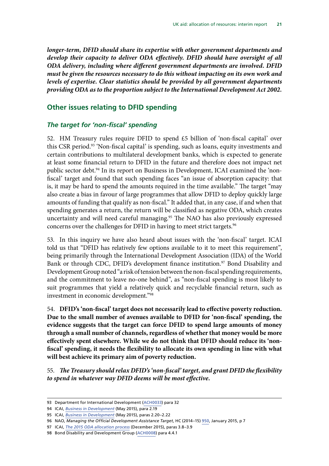<span id="page-24-0"></span>*longer-term, DFID should share its expertise with other government departments and develop their capacity to deliver ODA effectively. DFID should have oversight of all ODA delivery, including where different government departments are involved. DFID must be given the resources necessary to do this without impacting on its own work and levels of expertise. Clear statistics should be provided by all government departments providing ODA as to the proportion subject to the International Development Act 2002.*

#### **Other issues relating to DFID spending**

#### *The target for 'non-fiscal' spending*

52. HM Treasury rules require DFID to spend  $£5$  billion of 'non-fiscal capital' over this CSR period.93 'Non-fiscal capital' is spending, such as loans, equity investments and certain contributions to multilateral development banks, which is expected to generate at least some financial return to DFID in the future and therefore does not impact net public sector debt.<sup>94</sup> In its report on Business in Development, ICAI examined the 'nonfiscal' target and found that such spending faces "an issue of absorption capacity: that is, it may be hard to spend the amounts required in the time available." The target "may also create a bias in favour of large programmes that allow DFID to deploy quickly large amounts of funding that qualify as non-fiscal." It added that, in any case, if and when that spending generates a return, the return will be classified as negative ODA, which creates uncertainty and will need careful managing.<sup>95</sup> The NAO has also previously expressed concerns over the challenges for DFID in having to meet strict targets.<sup>96</sup>

53. In this inquiry we have also heard about issues with the 'non-fiscal' target. ICAI told us that "DFID has relatively few options available to it to meet this requirement", being primarily through the International Development Association (IDA) of the World Bank or through CDC, DFID's development finance institution.<sup>97</sup> Bond Disability and Development Group noted "a risk of tension between the non-fiscal spending requirements, and the commitment to leave no-one behind", as "non-fiscal spending is most likely to suit programmes that yield a relatively quick and recyclable financial return, such as investment in economic development."98

54. **DFID's 'non-fiscal' target does not necessarily lead to effective poverty reduction. Due to the small number of avenues available to DFID for 'non-fiscal' spending, the evidence suggests that the target can force DFID to spend large amounts of money through a small number of channels, regardless of whether that money would be more effectively spent elsewhere. While we do not think that DFID should reduce its 'nonfiscal' spending, it needs the flexibility to allocate its own spending in line with what will best achieve its primary aim of poverty reduction.**

55. *The Treasury should relax DFID's 'non-fiscal' target, and grant DFID the flexibility to spend in whatever way DFID deems will be most effective.*

<sup>93</sup> Department for International Development ([ACH0033\)](http://data.parliament.uk/writtenevidence/committeeevidence.svc/evidencedocument/international-development-committee/dfids-allocation-of-resources/written/28276.pdf) para 32

<sup>94</sup> ICAI, *[Business in Development](http://icai.independent.gov.uk/wp-content/uploads/ICAI-Business-in-Development-FINAL.pdf)* (May 2015), para 2.19

<sup>95</sup> ICAI, *[Business in Development](http://icai.independent.gov.uk/wp-content/uploads/ICAI-Business-in-Development-FINAL.pdf)* (May 2015), paras 2.20–2.22

<sup>96</sup> NAO, *Managing the Official Development Assistance Target*, HC (2014–15) [950](https://www.nao.org.uk/wp-content/uploads/2015/01/Managing-the-official-development-assistance-target.pdf), January 2015, p 7

<sup>97</sup> ICAI, *[The 2015 ODA allocation process](http://www.parliament.uk/documents/commons-committees/international-development/ICAI-Memo-ODA-allocation-process.pdf)* (December 2015), paras 3.8–3.9

<sup>98</sup> Bond Disability and Development Group [\(ACH0008\)](http://data.parliament.uk/writtenevidence/committeeevidence.svc/evidencedocument/international-development-committee/dfids-allocation-of-resources/written/27422.pdf) para 4.4.1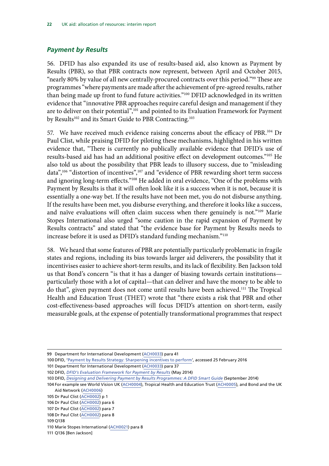#### <span id="page-25-0"></span>*Payment by Results*

56. DFID has also expanded its use of results-based aid, also known as Payment by Results (PBR), so that PBR contracts now represent, between April and October 2015, "nearly 80% by value of all new centrally-procured contracts over this period."99 These are programmes "where payments are made after the achievement of pre-agreed results, rather than being made up front to fund future activities."100 DFID acknowledged in its written evidence that "innovative PBR approaches require careful design and management if they are to deliver on their potential",<sup>101</sup> and pointed to its Evaluation Framework for Payment by Results<sup>102</sup> and its Smart Guide to PBR Contracting.<sup>103</sup>

57. We have received much evidence raising concerns about the efficacy of PBR.<sup>104</sup> Dr Paul Clist, while praising DFID for piloting these mechanisms, highlighted in his written evidence that, "There is currently no publically available evidence that DFID's use of results-based aid has had an additional positive effect on development outcomes."105 He also told us about the possibility that PBR leads to illusory success, due to "misleading data",<sup>106</sup> "distortion of incentives",<sup>107</sup> and "evidence of PBR rewarding short term success and ignoring long-term effects."<sup>108</sup> He added in oral evidence, "One of the problems with Payment by Results is that it will often look like it is a success when it is not, because it is essentially a one-way bet. If the results have not been met, you do not disburse anything. If the results have been met, you disburse everything, and therefore it looks like a success, and naïve evaluations will often claim success when there genuinely is not."<sup>109</sup> Marie Stopes International also urged "some caution in the rapid expansion of Payment by Results contracts" and stated that "the evidence base for Payment by Results needs to increase before it is used as DFID's standard funding mechanism."110

58. We heard that some features of PBR are potentially particularly problematic in fragile states and regions, including its bias towards larger aid deliverers, the possibility that it incentivises easier to achieve short-term results, and its lack of flexibility. Ben Jackson told us that Bond's concern "is that it has a danger of biasing towards certain institutions particularly those with a lot of capital—that can deliver and have the money to be able to do that", given payment does not come until results have been achieved.111 The Tropical Health and Education Trust (THET) wrote that "there exists a risk that PBR and other cost-effectiveness-based approaches will focus DFID's attention on short-term, easily measurable goals, at the expense of potentially transformational programmes that respect

107 Dr Paul Clist ([ACH0002\)](http://data.parliament.uk/writtenevidence/committeeevidence.svc/evidencedocument/international-development-committee/dfids-allocation-of-resources/written/27260.pdf) para 7

<sup>99</sup> Department for International Development ([ACH0033\)](http://data.parliament.uk/writtenevidence/committeeevidence.svc/evidencedocument/international-development-committee/dfids-allocation-of-resources/written/28276.pdf) para 41

<sup>100</sup> DFID, '[Payment by Results Strategy: Sharpening incentives to perform](https://www.gov.uk/government/publications/dfids-strategy-for-payment-by-results-sharpening-incentives-to-perform/payment-by-results-strategy-sharpening-incentives-to-perform)', accessed 25 February 2016

<sup>101</sup> Department for International Development ([ACH0033\)](http://data.parliament.uk/writtenevidence/committeeevidence.svc/evidencedocument/international-development-committee/dfids-allocation-of-resources/written/28276.pdf) para 37

<sup>102</sup> DFID, *[DFID's Evaluation Framework for Payment by Results](https://www.gov.uk/government/uploads/system/uploads/attachment_data/file/436051/Evaluation-Framework-Payment-by-Results3.pdf)* (May 2014)

<sup>103</sup> DFID, *[Designing and Delivering Payment by Results Programmes: A DFID Smart Guide](https://www.gov.uk/government/uploads/system/uploads/attachment_data/file/352519/Designing-Delivering-PbR-Programmes.pdf)* (September 2014)

<sup>104</sup> For example see World Vision UK ([ACH0004](http://data.parliament.uk/writtenevidence/committeeevidence.svc/evidencedocument/international-development-committee/dfids-allocation-of-resources/written/27350.pdf)), Tropical Health and Education Trust ([ACH0005](http://data.parliament.uk/writtenevidence/committeeevidence.svc/evidencedocument/international-development-committee/dfids-allocation-of-resources/written/27390.pdf)), and Bond and the UK Aid Network ([ACH0006](http://data.parliament.uk/writtenevidence/committeeevidence.svc/evidencedocument/international-development-committee/dfids-allocation-of-resources/written/27391.pdf))

<sup>105</sup> Dr Paul Clist ([ACH0002\)](http://data.parliament.uk/writtenevidence/committeeevidence.svc/evidencedocument/international-development-committee/dfids-allocation-of-resources/written/27260.pdf) p 1

<sup>106</sup> Dr Paul Clist ([ACH0002\)](http://data.parliament.uk/writtenevidence/committeeevidence.svc/evidencedocument/international-development-committee/dfids-allocation-of-resources/written/27260.pdf) para 6

<sup>108</sup> Dr Paul Clist ([ACH0002\)](http://data.parliament.uk/writtenevidence/committeeevidence.svc/evidencedocument/international-development-committee/dfids-allocation-of-resources/written/27260.pdf) para 8

<sup>109</sup> Q138

<sup>110</sup> Marie Stopes International [\(ACH0021\)](http://data.parliament.uk/writtenevidence/committeeevidence.svc/evidencedocument/international-development-committee/dfids-allocation-of-resources/written/27559.pdf) para 8

<sup>111</sup> Q136 [Ben Jackson]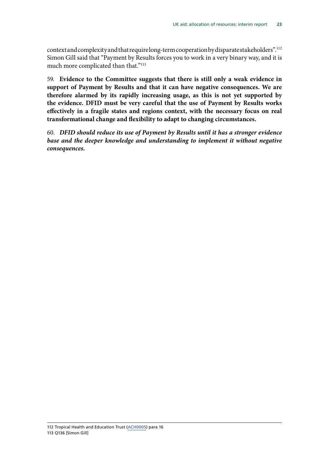context and complexity and that require long-term cooperation by disparate stakeholders".112 Simon Gill said that "Payment by Results forces you to work in a very binary way, and it is much more complicated than that."<sup>113</sup>

59. **Evidence to the Committee suggests that there is still only a weak evidence in support of Payment by Results and that it can have negative consequences. We are therefore alarmed by its rapidly increasing usage, as this is not yet supported by the evidence. DFID must be very careful that the use of Payment by Results works effectively in a fragile states and regions context, with the necessary focus on real transformational change and flexibility to adapt to changing circumstances.**

60. *DFID should reduce its use of Payment by Results until it has a stronger evidence base and the deeper knowledge and understanding to implement it without negative consequences.*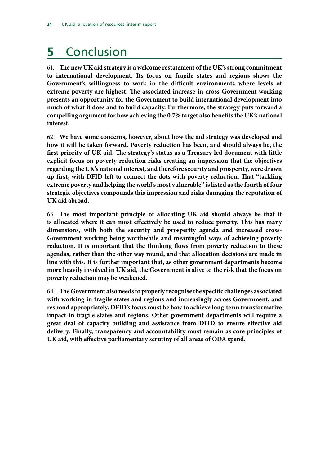## <span id="page-27-0"></span>**5** Conclusion

61. **The new UK aid strategy is a welcome restatement of the UK's strong commitment to international development. Its focus on fragile states and regions shows the Government's willingness to work in the difficult environments where levels of extreme poverty are highest. The associated increase in cross-Government working presents an opportunity for the Government to build international development into much of what it does and to build capacity. Furthermore, the strategy puts forward a compelling argument for how achieving the 0.7% target also benefits the UK's national interest.**

62. **We have some concerns, however, about how the aid strategy was developed and how it will be taken forward. Poverty reduction has been, and should always be, the first priority of UK aid. The strategy's status as a Treasury-led document with little explicit focus on poverty reduction risks creating an impression that the objectives regarding the UK's national interest, and therefore security and prosperity, were drawn up first, with DFID left to connect the dots with poverty reduction. That "tackling extreme poverty and helping the world's most vulnerable" is listed as the fourth of four strategic objectives compounds this impression and risks damaging the reputation of UK aid abroad.**

63. **The most important principle of allocating UK aid should always be that it is allocated where it can most effectively be used to reduce poverty. This has many dimensions, with both the security and prosperity agenda and increased cross-Government working being worthwhile and meaningful ways of achieving poverty reduction. It is important that the thinking flows from poverty reduction to these agendas, rather than the other way round, and that allocation decisions are made in line with this. It is further important that, as other government departments become more heavily involved in UK aid, the Government is alive to the risk that the focus on poverty reduction may be weakened.**

64. **The Government also needs to properly recognise the specific challenges associated with working in fragile states and regions and increasingly across Government, and respond appropriately. DFID's focus must be how to achieve long-term transformative impact in fragile states and regions. Other government departments will require a great deal of capacity building and assistance from DFID to ensure effective aid delivery. Finally, transparency and accountability must remain as core principles of UK aid, with effective parliamentary scrutiny of all areas of ODA spend.**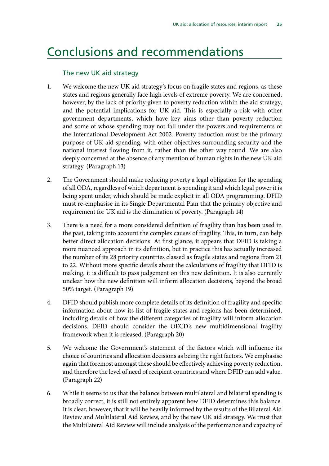### <span id="page-28-0"></span>Conclusions and recommendations

#### The new UK aid strategy

- 1. We welcome the new UK aid strategy's focus on fragile states and regions, as these states and regions generally face high levels of extreme poverty. We are concerned, however, by the lack of priority given to poverty reduction within the aid strategy, and the potential implications for UK aid. This is especially a risk with other government departments, which have key aims other than poverty reduction and some of whose spending may not fall under the powers and requirements of the International Development Act 2002. Poverty reduction must be the primary purpose of UK aid spending, with other objectives surrounding security and the national interest flowing from it, rather than the other way round. We are also deeply concerned at the absence of any mention of human rights in the new UK aid strategy. (Paragraph 13)
- 2. The Government should make reducing poverty a legal obligation for the spending of all ODA, regardless of which department is spending it and which legal power it is being spent under, which should be made explicit in all ODA programming. DFID must re-emphasise in its Single Departmental Plan that the primary objective and requirement for UK aid is the elimination of poverty. (Paragraph 14)
- 3. There is a need for a more considered definition of fragility than has been used in the past, taking into account the complex causes of fragility. This, in turn, can help better direct allocation decisions. At first glance, it appears that DFID is taking a more nuanced approach in its definition, but in practice this has actually increased the number of its 28 priority countries classed as fragile states and regions from 21 to 22. Without more specific details about the calculations of fragility that DFID is making, it is difficult to pass judgement on this new definition. It is also currently unclear how the new definition will inform allocation decisions, beyond the broad 50% target. (Paragraph 19)
- 4. DFID should publish more complete details of its definition of fragility and specific information about how its list of fragile states and regions has been determined, including details of how the different categories of fragility will inform allocation decisions. DFID should consider the OECD's new multidimensional fragility framework when it is released. (Paragraph 20)
- 5. We welcome the Government's statement of the factors which will influence its choice of countries and allocation decisions as being the right factors. We emphasise again that foremost amongst these should be effectively achieving poverty reduction, and therefore the level of need of recipient countries and where DFID can add value. (Paragraph 22)
- 6. While it seems to us that the balance between multilateral and bilateral spending is broadly correct, it is still not entirely apparent how DFID determines this balance. It is clear, however, that it will be heavily informed by the results of the Bilateral Aid Review and Multilateral Aid Review, and by the new UK aid strategy. We trust that the Multilateral Aid Review will include analysis of the performance and capacity of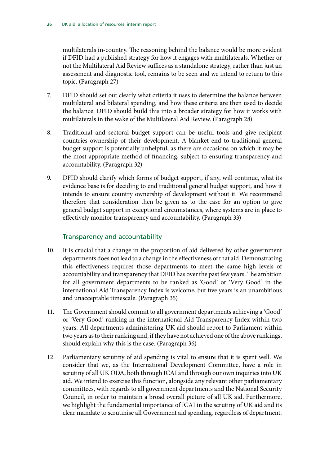multilaterals in-country. The reasoning behind the balance would be more evident if DFID had a published strategy for how it engages with multilaterals. Whether or not the Multilateral Aid Review suffices as a standalone strategy, rather than just an assessment and diagnostic tool, remains to be seen and we intend to return to this topic. (Paragraph 27)

- 7. DFID should set out clearly what criteria it uses to determine the balance between multilateral and bilateral spending, and how these criteria are then used to decide the balance. DFID should build this into a broader strategy for how it works with multilaterals in the wake of the Multilateral Aid Review. (Paragraph 28)
- 8. Traditional and sectoral budget support can be useful tools and give recipient countries ownership of their development. A blanket end to traditional general budget support is potentially unhelpful, as there are occasions on which it may be the most appropriate method of financing, subject to ensuring transparency and accountability. (Paragraph 32)
- 9. DFID should clarify which forms of budget support, if any, will continue, what its evidence base is for deciding to end traditional general budget support, and how it intends to ensure country ownership of development without it. We recommend therefore that consideration then be given as to the case for an option to give general budget support in exceptional circumstances, where systems are in place to effectively monitor transparency and accountability. (Paragraph 33)

#### Transparency and accountability

- 10. It is crucial that a change in the proportion of aid delivered by other government departments does not lead to a change in the effectiveness of that aid. Demonstrating this effectiveness requires those departments to meet the same high levels of accountability and transparency that DFID has over the past few years. The ambition for all government departments to be ranked as 'Good' or 'Very Good' in the international Aid Transparency Index is welcome, but five years is an unambitious and unacceptable timescale. (Paragraph 35)
- 11. The Government should commit to all government departments achieving a 'Good' or 'Very Good' ranking in the international Aid Transparency Index within two years. All departments administering UK aid should report to Parliament within two years as to their ranking and, if they have not achieved one of the above rankings, should explain why this is the case. (Paragraph 36)
- 12. Parliamentary scrutiny of aid spending is vital to ensure that it is spent well. We consider that we, as the International Development Committee, have a role in scrutiny of all UK ODA, both through ICAI and through our own inquiries into UK aid. We intend to exercise this function, alongside any relevant other parliamentary committees, with regards to all government departments and the National Security Council, in order to maintain a broad overall picture of all UK aid. Furthermore, we highlight the fundamental importance of ICAI in the scrutiny of UK aid and its clear mandate to scrutinise all Government aid spending, regardless of department.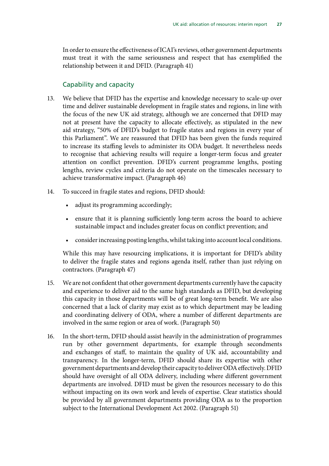In order to ensure the effectiveness of ICAI's reviews, other government departments must treat it with the same seriousness and respect that has exemplified the relationship between it and DFID. (Paragraph 41)

#### Capability and capacity

- 13. We believe that DFID has the expertise and knowledge necessary to scale-up over time and deliver sustainable development in fragile states and regions, in line with the focus of the new UK aid strategy, although we are concerned that DFID may not at present have the capacity to allocate effectively, as stipulated in the new aid strategy, "50% of DFID's budget to fragile states and regions in every year of this Parliament". We are reassured that DFID has been given the funds required to increase its staffing levels to administer its ODA budget. It nevertheless needs to recognise that achieving results will require a longer-term focus and greater attention on conflict prevention. DFID's current programme lengths, posting lengths, review cycles and criteria do not operate on the timescales necessary to achieve transformative impact. (Paragraph 46)
- 14. To succeed in fragile states and regions, DFID should:
	- adjust its programming accordingly;
	- ensure that it is planning sufficiently long-term across the board to achieve sustainable impact and includes greater focus on conflict prevention; and
	- consider increasing posting lengths, whilst taking into account local conditions.

While this may have resourcing implications, it is important for DFID's ability to deliver the fragile states and regions agenda itself, rather than just relying on contractors. (Paragraph 47)

- 15. We are not confident that other government departments currently have the capacity and experience to deliver aid to the same high standards as DFID, but developing this capacity in those departments will be of great long-term benefit. We are also concerned that a lack of clarity may exist as to which department may be leading and coordinating delivery of ODA, where a number of different departments are involved in the same region or area of work. (Paragraph 50)
- 16. In the short-term, DFID should assist heavily in the administration of programmes run by other government departments, for example through secondments and exchanges of staff, to maintain the quality of UK aid, accountability and transparency. In the longer-term, DFID should share its expertise with other government departments and develop their capacity to deliver ODA effectively. DFID should have oversight of all ODA delivery, including where different government departments are involved. DFID must be given the resources necessary to do this without impacting on its own work and levels of expertise. Clear statistics should be provided by all government departments providing ODA as to the proportion subject to the International Development Act 2002. (Paragraph 51)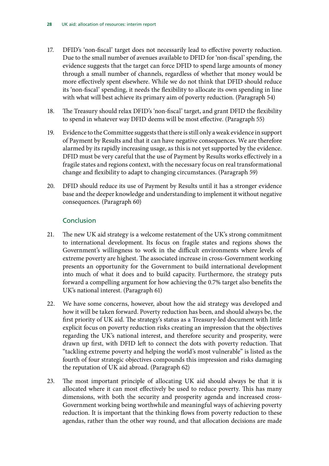- 17. DFID's 'non-fiscal' target does not necessarily lead to effective poverty reduction. Due to the small number of avenues available to DFID for 'non-fiscal' spending, the evidence suggests that the target can force DFID to spend large amounts of money through a small number of channels, regardless of whether that money would be more effectively spent elsewhere. While we do not think that DFID should reduce its 'non-fiscal' spending, it needs the flexibility to allocate its own spending in line with what will best achieve its primary aim of poverty reduction. (Paragraph 54)
- 18. The Treasury should relax DFID's 'non-fiscal' target, and grant DFID the flexibility to spend in whatever way DFID deems will be most effective. (Paragraph 55)
- 19. Evidence to the Committee suggests that there is still only a weak evidence in support of Payment by Results and that it can have negative consequences. We are therefore alarmed by its rapidly increasing usage, as this is not yet supported by the evidence. DFID must be very careful that the use of Payment by Results works effectively in a fragile states and regions context, with the necessary focus on real transformational change and flexibility to adapt to changing circumstances. (Paragraph 59)
- 20. DFID should reduce its use of Payment by Results until it has a stronger evidence base and the deeper knowledge and understanding to implement it without negative consequences. (Paragraph 60)

#### Conclusion

- 21. The new UK aid strategy is a welcome restatement of the UK's strong commitment to international development. Its focus on fragile states and regions shows the Government's willingness to work in the difficult environments where levels of extreme poverty are highest. The associated increase in cross-Government working presents an opportunity for the Government to build international development into much of what it does and to build capacity. Furthermore, the strategy puts forward a compelling argument for how achieving the 0.7% target also benefits the UK's national interest. (Paragraph 61)
- 22. We have some concerns, however, about how the aid strategy was developed and how it will be taken forward. Poverty reduction has been, and should always be, the first priority of UK aid. The strategy's status as a Treasury-led document with little explicit focus on poverty reduction risks creating an impression that the objectives regarding the UK's national interest, and therefore security and prosperity, were drawn up first, with DFID left to connect the dots with poverty reduction. That "tackling extreme poverty and helping the world's most vulnerable" is listed as the fourth of four strategic objectives compounds this impression and risks damaging the reputation of UK aid abroad. (Paragraph 62)
- 23. The most important principle of allocating UK aid should always be that it is allocated where it can most effectively be used to reduce poverty. This has many dimensions, with both the security and prosperity agenda and increased cross-Government working being worthwhile and meaningful ways of achieving poverty reduction. It is important that the thinking flows from poverty reduction to these agendas, rather than the other way round, and that allocation decisions are made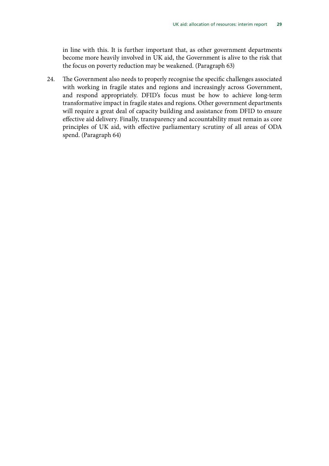in line with this. It is further important that, as other government departments become more heavily involved in UK aid, the Government is alive to the risk that the focus on poverty reduction may be weakened. (Paragraph 63)

24. The Government also needs to properly recognise the specific challenges associated with working in fragile states and regions and increasingly across Government, and respond appropriately. DFID's focus must be how to achieve long-term transformative impact in fragile states and regions. Other government departments will require a great deal of capacity building and assistance from DFID to ensure effective aid delivery. Finally, transparency and accountability must remain as core principles of UK aid, with effective parliamentary scrutiny of all areas of ODA spend. (Paragraph 64)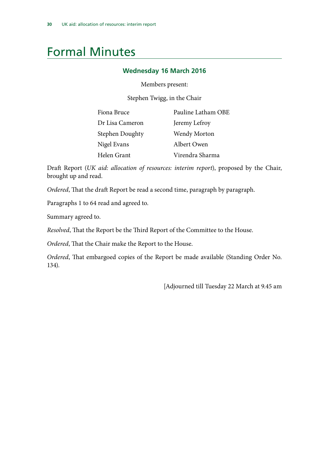### <span id="page-33-0"></span>Formal Minutes

#### **Wednesday 16 March 2016**

Members present:

Stephen Twigg, in the Chair

| Fiona Bruce     | Pauline Latham OBE  |
|-----------------|---------------------|
| Dr Lisa Cameron | Jeremy Lefroy       |
| Stephen Doughty | <b>Wendy Morton</b> |
| Nigel Evans     | Albert Owen         |
| Helen Grant     | Virendra Sharma     |

Draft Report (*UK aid: allocation of resources: interim report*), proposed by the Chair, brought up and read.

*Ordered*, That the draft Report be read a second time, paragraph by paragraph.

Paragraphs 1 to 64 read and agreed to.

Summary agreed to.

*Resolved*, That the Report be the Third Report of the Committee to the House.

*Ordered*, That the Chair make the Report to the House.

*Ordered*, That embargoed copies of the Report be made available (Standing Order No. 134).

[Adjourned till Tuesday 22 March at 9.45 am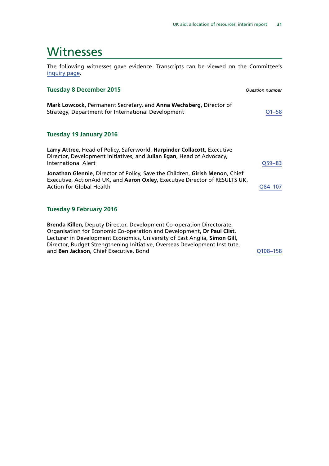### <span id="page-34-0"></span>Witnesses

The following witnesses gave evidence. Transcripts can be viewed on the Committee's [inquiry page](http://www.parliament.uk/business/committees/committees-a-z/commons-select/international-development-committee/inquiries/parliament-2015/dfids-allocation-of-resources/).

#### **Tuesday 8 December 2015** *Question number*

**Mark Lowcock**, Permanent Secretary, and **Anna Wechsberg**, Director of Strategy, Department for International Development COMERGIA RESERVIATION COMERGIA

#### **Tuesday 19 January 2016**

| Larry Attree, Head of Policy, Saferworld, Harpinder Collacott, Executive<br>Director, Development Initiatives, and Julian Egan, Head of Advocacy,           |            |
|-------------------------------------------------------------------------------------------------------------------------------------------------------------|------------|
| <b>International Alert</b>                                                                                                                                  | $Q59 - 83$ |
| Jonathan Glennie, Director of Policy, Save the Children, Girish Menon, Chief<br>Executive, ActionAid UK, and Aaron Oxley, Executive Director of RESULTS UK, |            |
| <b>Action for Global Health</b>                                                                                                                             | O84-107    |
|                                                                                                                                                             |            |

#### **Tuesday 9 February 2016**

**Brenda Killen**, Deputy Director, Development Co-operation Directorate, Organisation for Economic Co-operation and Development, **Dr Paul Clist**, Lecturer in Development Economics, University of East Anglia, **Simon Gill**, Director, Budget Strengthening Initiative, Overseas Development Institute, and **Ben Jackson**, Chief Executive, Bond **[Q108–158](http://data.parliament.uk/writtenevidence/committeeevidence.svc/evidencedocument/international-development-committee/dfids-allocation-of-resources/oral/29003.html)**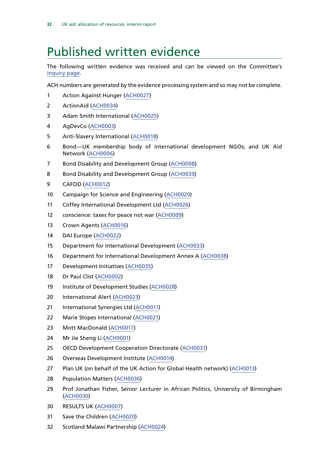### <span id="page-35-0"></span>Published written evidence

The following written evidence was received and can be viewed on the Committee's [inquiry page](http://www.parliament.uk/business/committees/committees-a-z/commons-select/international-development-committee/inquiries/parliament-2015/dfids-allocation-of-resources/).

ACH numbers are generated by the evidence processing system and so may not be complete.

- Action Against Hunger ([ACH0027](http://data.parliament.uk/WrittenEvidence/CommitteeEvidence.svc/EvidenceDocument/International%20Development/DFIDs%20allocation%20of%20resources/written/27623.html))
- ActionAid ([ACH0034\)](http://data.parliament.uk/WrittenEvidence/CommitteeEvidence.svc/EvidenceDocument/International%20Development/DFIDs%20allocation%20of%20resources/written/28285.html)
- Adam Smith International ([ACH0025\)](http://data.parliament.uk/WrittenEvidence/CommitteeEvidence.svc/EvidenceDocument/International%20Development/DFIDs%20allocation%20of%20resources/written/27586.html)
- AgDevCo [\(ACH0003](http://data.parliament.uk/WrittenEvidence/CommitteeEvidence.svc/EvidenceDocument/International%20Development/DFIDs%20allocation%20of%20resources/written/27262.html))
- Anti-Slavery International [\(ACH0018\)](http://data.parliament.uk/WrittenEvidence/CommitteeEvidence.svc/EvidenceDocument/International%20Development/DFIDs%20allocation%20of%20resources/written/27517.html)
- Bond—UK membership body of international development NGOs; and UK Aid Network ([ACH0006](http://data.parliament.uk/WrittenEvidence/CommitteeEvidence.svc/EvidenceDocument/International%20Development/DFIDs%20allocation%20of%20resources/written/27391.html))
- Bond Disability and Development Group ([ACH0008\)](http://data.parliament.uk/WrittenEvidence/CommitteeEvidence.svc/EvidenceDocument/International%20Development/DFIDs%20allocation%20of%20resources/written/27422.html)
- 8 Bond Disability and Development Group ([ACH0039\)](http://data.parliament.uk/WrittenEvidence/CommitteeEvidence.svc/EvidenceDocument/International%20Development/DFIDs%20allocation%20of%20resources/written/29990.html)
- CAFOD ([ACH0012\)](http://data.parliament.uk/WrittenEvidence/CommitteeEvidence.svc/EvidenceDocument/International%20Development/DFIDs%20allocation%20of%20resources/written/27452.html)
- Campaign for Science and Engineering ([ACH0029\)](http://data.parliament.uk/WrittenEvidence/CommitteeEvidence.svc/EvidenceDocument/International%20Development/DFIDs%20allocation%20of%20resources/written/27804.html)
- Coffey International Development Ltd ([ACH0026](http://data.parliament.uk/WrittenEvidence/CommitteeEvidence.svc/EvidenceDocument/International%20Development/DFIDs%20allocation%20of%20resources/written/27590.html))
- conscience: taxes for peace not war [\(ACH0009\)](http://data.parliament.uk/WrittenEvidence/CommitteeEvidence.svc/EvidenceDocument/International%20Development/DFIDs%20allocation%20of%20resources/written/27429.html)
- Crown Agents ([ACH0016\)](http://data.parliament.uk/WrittenEvidence/CommitteeEvidence.svc/EvidenceDocument/International%20Development/DFIDs%20allocation%20of%20resources/written/27462.html)
- DAI Europe ([ACH0022\)](http://data.parliament.uk/WrittenEvidence/CommitteeEvidence.svc/EvidenceDocument/International%20Development/DFIDs%20allocation%20of%20resources/written/27572.html)
- Department for International Development ([ACH0033\)](http://data.parliament.uk/WrittenEvidence/CommitteeEvidence.svc/EvidenceDocument/International%20Development/DFIDs%20allocation%20of%20resources/written/28276.html)
- Department for International Development Annex A ([ACH0038\)](http://data.parliament.uk/WrittenEvidence/CommitteeEvidence.svc/EvidenceDocument/International%20Development/DFIDs%20allocation%20of%20resources/written/29813.html)
- Development Initiatives ([ACH0035\)](http://data.parliament.uk/WrittenEvidence/CommitteeEvidence.svc/EvidenceDocument/International%20Development/DFIDs%20allocation%20of%20resources/written/28286.html)
- Dr Paul Clist ([ACH0002](http://data.parliament.uk/WrittenEvidence/CommitteeEvidence.svc/EvidenceDocument/International%20Development/DFIDs%20allocation%20of%20resources/written/27260.html))
- Institute of Development Studies ([ACH0028\)](http://data.parliament.uk/WrittenEvidence/CommitteeEvidence.svc/EvidenceDocument/International%20Development/DFIDs%20allocation%20of%20resources/written/27803.html)
- International Alert [\(ACH0023](http://data.parliament.uk/WrittenEvidence/CommitteeEvidence.svc/EvidenceDocument/International%20Development/DFIDs%20allocation%20of%20resources/written/27584.html))
- International Synergies Ltd [\(ACH0011\)](http://data.parliament.uk/WrittenEvidence/CommitteeEvidence.svc/EvidenceDocument/International%20Development/DFIDs%20allocation%20of%20resources/written/27441.html)
- Marie Stopes International [\(ACH0021\)](http://data.parliament.uk/WrittenEvidence/CommitteeEvidence.svc/EvidenceDocument/International%20Development/DFIDs%20allocation%20of%20resources/written/27559.html)
- Mott MacDonald ([ACH0017](http://data.parliament.uk/WrittenEvidence/CommitteeEvidence.svc/EvidenceDocument/International%20Development/DFIDs%20allocation%20of%20resources/written/27463.html))
- Mr Jie Sheng Li [\(ACH0001](http://data.parliament.uk/WrittenEvidence/CommitteeEvidence.svc/EvidenceDocument/International%20Development/DFIDs%20allocation%20of%20resources/written/27164.html))
- OECD Development Cooperation Directorate ([ACH0031\)](http://data.parliament.uk/WrittenEvidence/CommitteeEvidence.svc/EvidenceDocument/International%20Development/DFIDs%20allocation%20of%20resources/written/27847.html)
- Overseas Development Institute [\(ACH0014\)](http://data.parliament.uk/WrittenEvidence/CommitteeEvidence.svc/EvidenceDocument/International%20Development/DFIDs%20allocation%20of%20resources/written/27459.html)
- Plan UK (on behalf of the UK Action for Global Health network) ([ACH0013](http://data.parliament.uk/WrittenEvidence/CommitteeEvidence.svc/EvidenceDocument/International%20Development/DFIDs%20allocation%20of%20resources/written/27457.html))
- Population Matters [\(ACH0036](http://data.parliament.uk/WrittenEvidence/CommitteeEvidence.svc/EvidenceDocument/International%20Development/DFIDs%20allocation%20of%20resources/written/28668.html))
- Prof Jonathan Fisher, Senior Lecturer in African Politics, University of Birmingham ([ACH0030](http://data.parliament.uk/WrittenEvidence/CommitteeEvidence.svc/EvidenceDocument/International%20Development/DFIDs%20allocation%20of%20resources/written/27805.html))
- RESULTS UK [\(ACH0007\)](http://data.parliament.uk/WrittenEvidence/CommitteeEvidence.svc/EvidenceDocument/International%20Development/DFIDs%20allocation%20of%20resources/written/27398.html)
- Save the Children [\(ACH0020](http://data.parliament.uk/WrittenEvidence/CommitteeEvidence.svc/EvidenceDocument/International%20Development/DFIDs%20allocation%20of%20resources/written/27542.html))
- Scotland Malawi Partnership ([ACH0024\)](http://data.parliament.uk/WrittenEvidence/CommitteeEvidence.svc/EvidenceDocument/International%20Development/DFIDs%20allocation%20of%20resources/written/27585.html)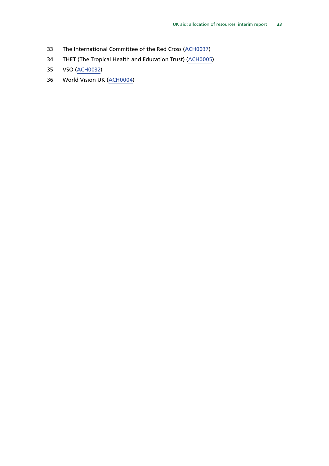- The International Committee of the Red Cross ([ACH0037\)](http://data.parliament.uk/WrittenEvidence/CommitteeEvidence.svc/EvidenceDocument/International%20Development/DFIDs%20allocation%20of%20resources/written/28991.html)
- THET (The Tropical Health and Education Trust) ([ACH0005](http://data.parliament.uk/WrittenEvidence/CommitteeEvidence.svc/EvidenceDocument/International%20Development/DFIDs%20allocation%20of%20resources/written/27390.html))
- VSO [\(ACH0032](http://data.parliament.uk/WrittenEvidence/CommitteeEvidence.svc/EvidenceDocument/International%20Development/DFIDs%20allocation%20of%20resources/written/27896.html))
- World Vision UK [\(ACH0004](http://data.parliament.uk/WrittenEvidence/CommitteeEvidence.svc/EvidenceDocument/International%20Development/DFIDs%20allocation%20of%20resources/written/27350.html))